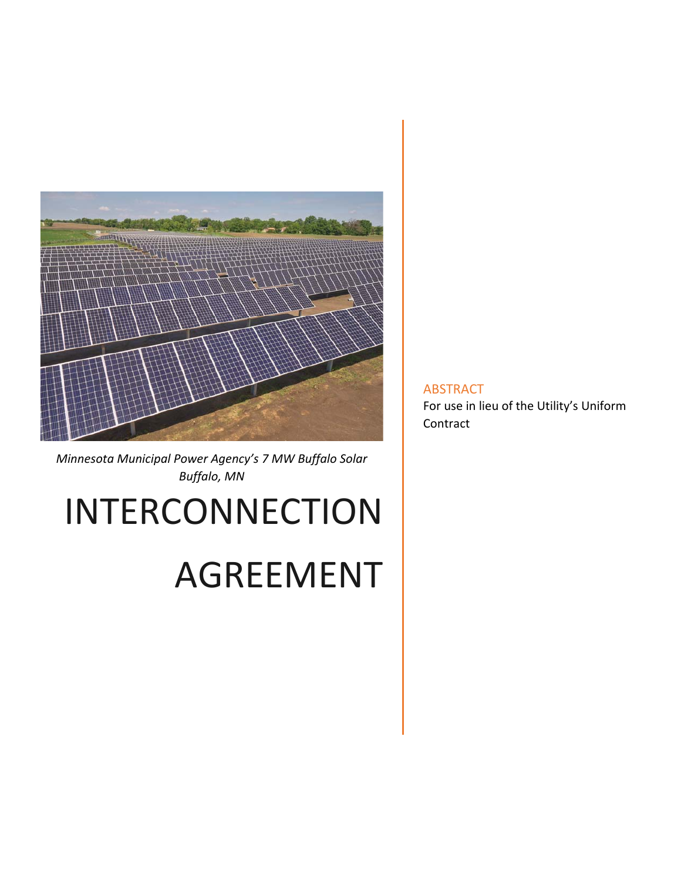

*Minnesota Municipal Power Agency's 7 MW Buffalo Solar Buffalo, MN*

# INTERCONNECTION

# AGREEMENT

ABSTRACT For use in lieu of the Utility's Uniform Contract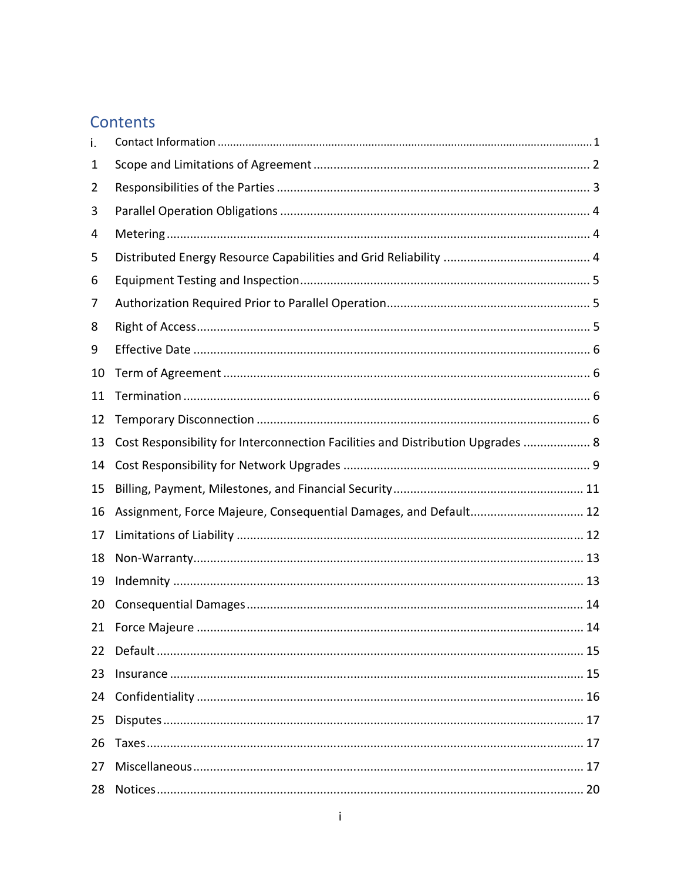# Contents

| i. |                                                                                 |
|----|---------------------------------------------------------------------------------|
| 1  |                                                                                 |
| 2  |                                                                                 |
| 3  |                                                                                 |
| 4  |                                                                                 |
| 5  |                                                                                 |
| 6  |                                                                                 |
| 7  |                                                                                 |
| 8  |                                                                                 |
| 9  |                                                                                 |
| 10 |                                                                                 |
| 11 |                                                                                 |
| 12 |                                                                                 |
| 13 | Cost Responsibility for Interconnection Facilities and Distribution Upgrades  8 |
| 14 |                                                                                 |
| 15 |                                                                                 |
| 16 | Assignment, Force Majeure, Consequential Damages, and Default 12                |
| 17 |                                                                                 |
| 18 |                                                                                 |
| 19 |                                                                                 |
| 20 |                                                                                 |
|    |                                                                                 |
| 22 |                                                                                 |
| 23 |                                                                                 |
| 24 |                                                                                 |
| 25 |                                                                                 |
| 26 |                                                                                 |
| 27 |                                                                                 |
| 28 |                                                                                 |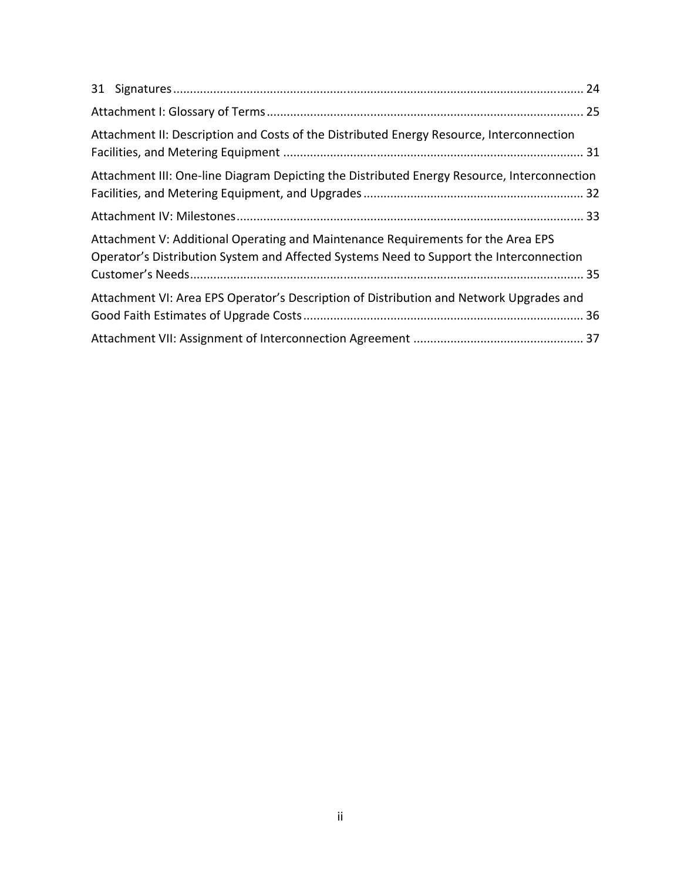| Attachment II: Description and Costs of the Distributed Energy Resource, Interconnection                                                                                    |  |
|-----------------------------------------------------------------------------------------------------------------------------------------------------------------------------|--|
| Attachment III: One-line Diagram Depicting the Distributed Energy Resource, Interconnection                                                                                 |  |
|                                                                                                                                                                             |  |
| Attachment V: Additional Operating and Maintenance Requirements for the Area EPS<br>Operator's Distribution System and Affected Systems Need to Support the Interconnection |  |
| Attachment VI: Area EPS Operator's Description of Distribution and Network Upgrades and                                                                                     |  |
|                                                                                                                                                                             |  |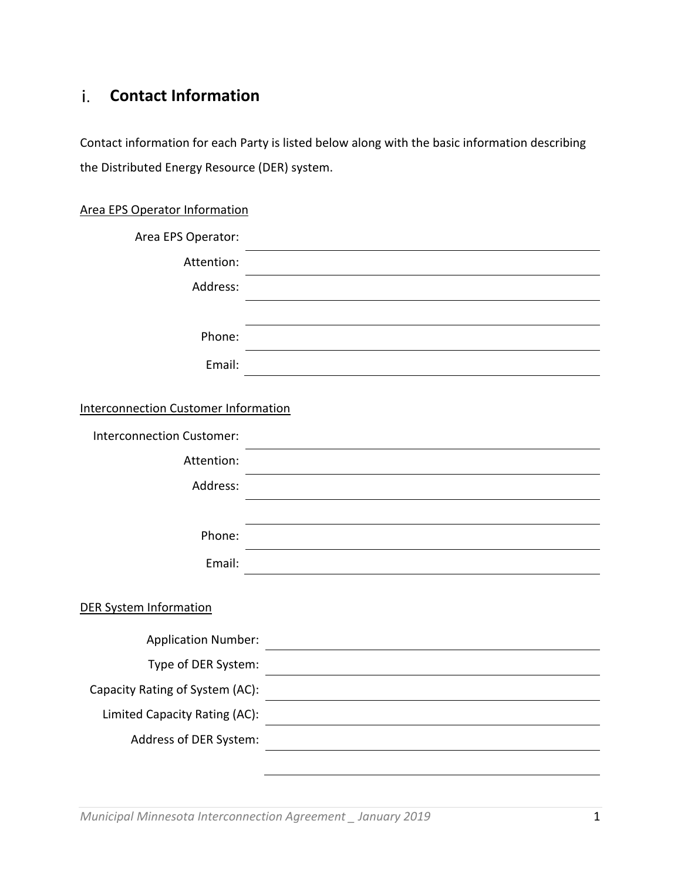#### **Contact Information**  i.

Contact information for each Party is listed below along with the basic information describing the Distributed Energy Resource (DER) system.

| <b>Area EPS Operator Information</b> |  |
|--------------------------------------|--|
| Area EPS Operator:                   |  |
| Attention:                           |  |
| Address:                             |  |
|                                      |  |
| Phone:                               |  |
|                                      |  |

| Phone:                                      |  |
|---------------------------------------------|--|
| Email:                                      |  |
|                                             |  |
| <b>Interconnection Customer Information</b> |  |
| <b>Interconnection Customer:</b>            |  |
| Attention:                                  |  |
| Address:                                    |  |
|                                             |  |
| Phone:                                      |  |
| Email:                                      |  |
|                                             |  |
| <b>DER System Information</b>               |  |
| <b>Application Number:</b>                  |  |
| Type of DER System:                         |  |
| Capacity Rating of System (AC):             |  |
| Limited Capacity Rating (AC):               |  |
| Address of DER System:                      |  |

 $\overline{\phantom{0}}$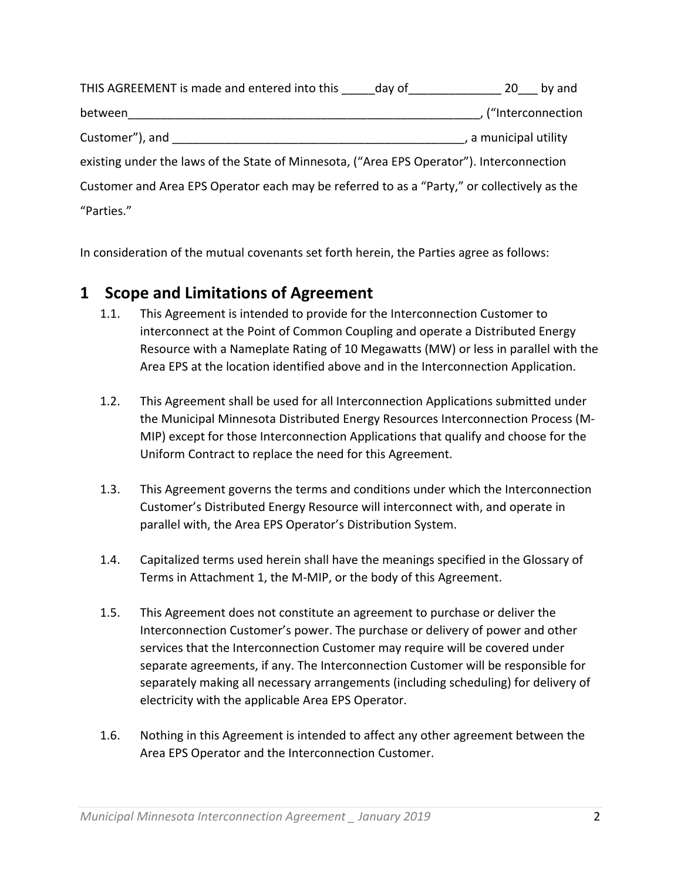| THIS AGREEMENT is made and entered into this day of                                         |  |                       | 20 by and         |
|---------------------------------------------------------------------------------------------|--|-----------------------|-------------------|
| between                                                                                     |  |                       | ("Interconnection |
| Customer"), and                                                                             |  | , a municipal utility |                   |
| existing under the laws of the State of Minnesota, ("Area EPS Operator"). Interconnection   |  |                       |                   |
| Customer and Area EPS Operator each may be referred to as a "Party," or collectively as the |  |                       |                   |
| "Parties."                                                                                  |  |                       |                   |

In consideration of the mutual covenants set forth herein, the Parties agree as follows:

#### **1 Scope and Limitations of Agreement**

- 1.1. This Agreement is intended to provide for the Interconnection Customer to interconnect at the Point of Common Coupling and operate a Distributed Energy Resource with a Nameplate Rating of 10 Megawatts (MW) or less in parallel with the Area EPS at the location identified above and in the Interconnection Application.
- 1.2. This Agreement shall be used for all Interconnection Applications submitted under the Municipal Minnesota Distributed Energy Resources Interconnection Process (M‐ MIP) except for those Interconnection Applications that qualify and choose for the Uniform Contract to replace the need for this Agreement.
- 1.3. This Agreement governs the terms and conditions under which the Interconnection Customer's Distributed Energy Resource will interconnect with, and operate in parallel with, the Area EPS Operator's Distribution System.
- 1.4. Capitalized terms used herein shall have the meanings specified in the Glossary of Terms in Attachment 1, the M‐MIP, or the body of this Agreement.
- 1.5. This Agreement does not constitute an agreement to purchase or deliver the Interconnection Customer's power. The purchase or delivery of power and other services that the Interconnection Customer may require will be covered under separate agreements, if any. The Interconnection Customer will be responsible for separately making all necessary arrangements (including scheduling) for delivery of electricity with the applicable Area EPS Operator.
- 1.6. Nothing in this Agreement is intended to affect any other agreement between the Area EPS Operator and the Interconnection Customer.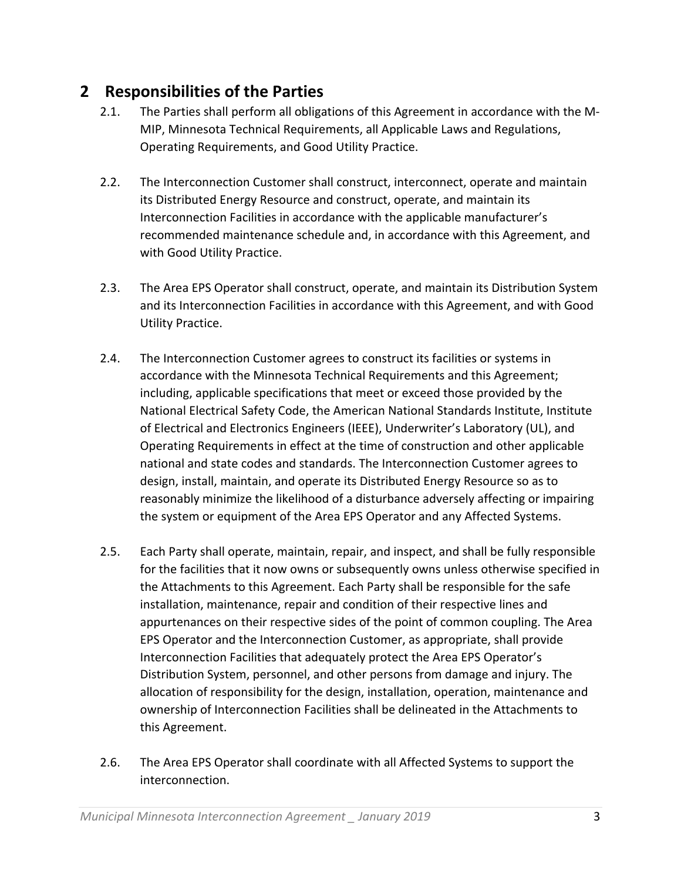## **2 Responsibilities of the Parties**

- 2.1. The Parties shall perform all obligations of this Agreement in accordance with the M‐ MIP, Minnesota Technical Requirements, all Applicable Laws and Regulations, Operating Requirements, and Good Utility Practice.
- 2.2. The Interconnection Customer shall construct, interconnect, operate and maintain its Distributed Energy Resource and construct, operate, and maintain its Interconnection Facilities in accordance with the applicable manufacturer's recommended maintenance schedule and, in accordance with this Agreement, and with Good Utility Practice.
- 2.3. The Area EPS Operator shall construct, operate, and maintain its Distribution System and its Interconnection Facilities in accordance with this Agreement, and with Good Utility Practice.
- 2.4. The Interconnection Customer agrees to construct its facilities or systems in accordance with the Minnesota Technical Requirements and this Agreement; including, applicable specifications that meet or exceed those provided by the National Electrical Safety Code, the American National Standards Institute, Institute of Electrical and Electronics Engineers (IEEE), Underwriter's Laboratory (UL), and Operating Requirements in effect at the time of construction and other applicable national and state codes and standards. The Interconnection Customer agrees to design, install, maintain, and operate its Distributed Energy Resource so as to reasonably minimize the likelihood of a disturbance adversely affecting or impairing the system or equipment of the Area EPS Operator and any Affected Systems.
- 2.5. Each Party shall operate, maintain, repair, and inspect, and shall be fully responsible for the facilities that it now owns or subsequently owns unless otherwise specified in the Attachments to this Agreement. Each Party shall be responsible for the safe installation, maintenance, repair and condition of their respective lines and appurtenances on their respective sides of the point of common coupling. The Area EPS Operator and the Interconnection Customer, as appropriate, shall provide Interconnection Facilities that adequately protect the Area EPS Operator's Distribution System, personnel, and other persons from damage and injury. The allocation of responsibility for the design, installation, operation, maintenance and ownership of Interconnection Facilities shall be delineated in the Attachments to this Agreement.
- 2.6. The Area EPS Operator shall coordinate with all Affected Systems to support the interconnection.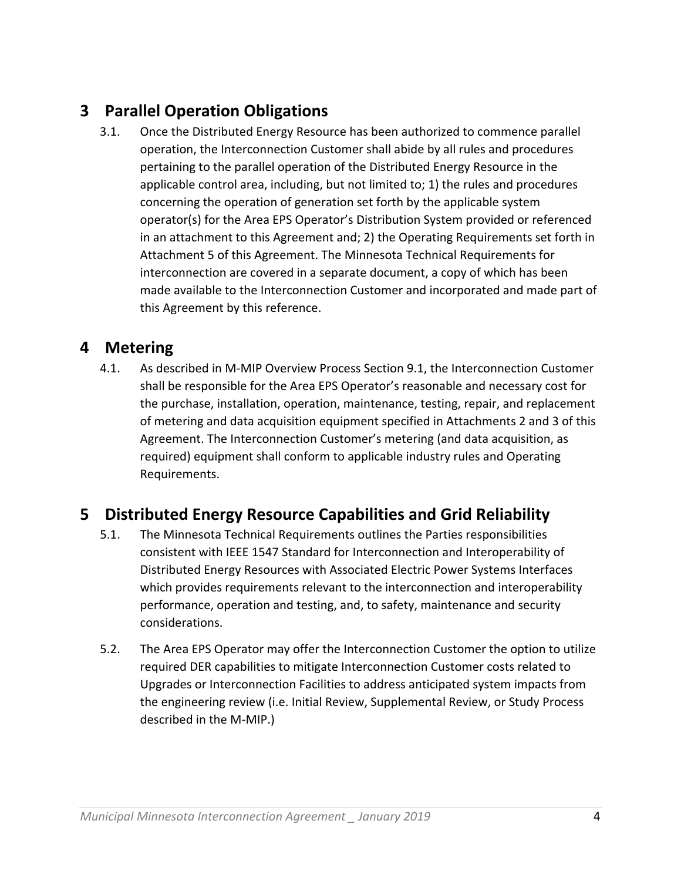# **3 Parallel Operation Obligations**

3.1. Once the Distributed Energy Resource has been authorized to commence parallel operation, the Interconnection Customer shall abide by all rules and procedures pertaining to the parallel operation of the Distributed Energy Resource in the applicable control area, including, but not limited to; 1) the rules and procedures concerning the operation of generation set forth by the applicable system operator(s) for the Area EPS Operator's Distribution System provided or referenced in an attachment to this Agreement and; 2) the Operating Requirements set forth in Attachment 5 of this Agreement. The Minnesota Technical Requirements for interconnection are covered in a separate document, a copy of which has been made available to the Interconnection Customer and incorporated and made part of this Agreement by this reference.

## **4 Metering**

4.1. As described in M‐MIP Overview Process Section 9.1, the Interconnection Customer shall be responsible for the Area EPS Operator's reasonable and necessary cost for the purchase, installation, operation, maintenance, testing, repair, and replacement of metering and data acquisition equipment specified in Attachments 2 and 3 of this Agreement. The Interconnection Customer's metering (and data acquisition, as required) equipment shall conform to applicable industry rules and Operating Requirements.

## **5 Distributed Energy Resource Capabilities and Grid Reliability**

- 5.1. The Minnesota Technical Requirements outlines the Parties responsibilities consistent with IEEE 1547 Standard for Interconnection and Interoperability of Distributed Energy Resources with Associated Electric Power Systems Interfaces which provides requirements relevant to the interconnection and interoperability performance, operation and testing, and, to safety, maintenance and security considerations.
- 5.2. The Area EPS Operator may offer the Interconnection Customer the option to utilize required DER capabilities to mitigate Interconnection Customer costs related to Upgrades or Interconnection Facilities to address anticipated system impacts from the engineering review (i.e. Initial Review, Supplemental Review, or Study Process described in the M‐MIP.)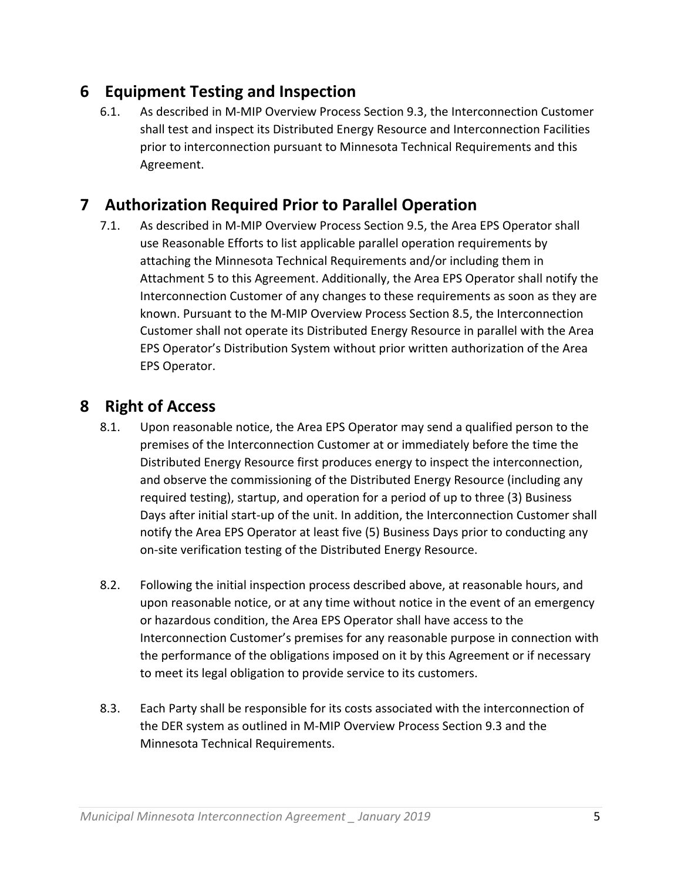## **6 Equipment Testing and Inspection**

6.1. As described in M‐MIP Overview Process Section 9.3, the Interconnection Customer shall test and inspect its Distributed Energy Resource and Interconnection Facilities prior to interconnection pursuant to Minnesota Technical Requirements and this Agreement.

# **7 Authorization Required Prior to Parallel Operation**

7.1. As described in M‐MIP Overview Process Section 9.5, the Area EPS Operator shall use Reasonable Efforts to list applicable parallel operation requirements by attaching the Minnesota Technical Requirements and/or including them in Attachment 5 to this Agreement. Additionally, the Area EPS Operator shall notify the Interconnection Customer of any changes to these requirements as soon as they are known. Pursuant to the M‐MIP Overview Process Section 8.5, the Interconnection Customer shall not operate its Distributed Energy Resource in parallel with the Area EPS Operator's Distribution System without prior written authorization of the Area EPS Operator.

## **8 Right of Access**

- 8.1. Upon reasonable notice, the Area EPS Operator may send a qualified person to the premises of the Interconnection Customer at or immediately before the time the Distributed Energy Resource first produces energy to inspect the interconnection, and observe the commissioning of the Distributed Energy Resource (including any required testing), startup, and operation for a period of up to three (3) Business Days after initial start-up of the unit. In addition, the Interconnection Customer shall notify the Area EPS Operator at least five (5) Business Days prior to conducting any on‐site verification testing of the Distributed Energy Resource.
- 8.2. Following the initial inspection process described above, at reasonable hours, and upon reasonable notice, or at any time without notice in the event of an emergency or hazardous condition, the Area EPS Operator shall have access to the Interconnection Customer's premises for any reasonable purpose in connection with the performance of the obligations imposed on it by this Agreement or if necessary to meet its legal obligation to provide service to its customers.
- 8.3. Each Party shall be responsible for its costs associated with the interconnection of the DER system as outlined in M‐MIP Overview Process Section 9.3 and the Minnesota Technical Requirements.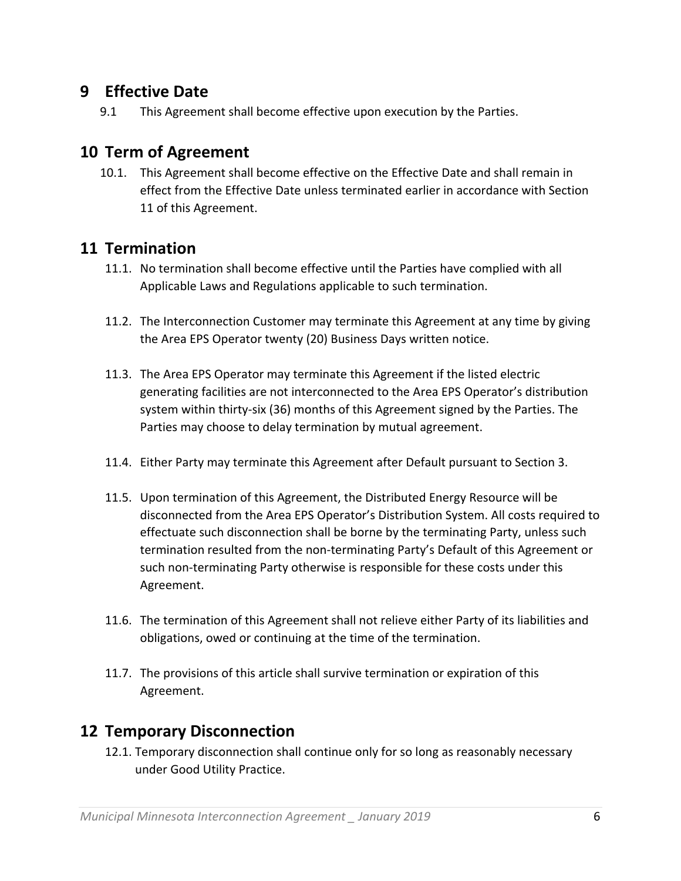#### **9 Effective Date**

9.1 This Agreement shall become effective upon execution by the Parties.

#### **10 Term of Agreement**

10.1. This Agreement shall become effective on the Effective Date and shall remain in effect from the Effective Date unless terminated earlier in accordance with Section 11 of this Agreement.

#### **11 Termination**

- 11.1. No termination shall become effective until the Parties have complied with all Applicable Laws and Regulations applicable to such termination.
- 11.2. The Interconnection Customer may terminate this Agreement at any time by giving the Area EPS Operator twenty (20) Business Days written notice.
- 11.3. The Area EPS Operator may terminate this Agreement if the listed electric generating facilities are not interconnected to the Area EPS Operator's distribution system within thirty‐six (36) months of this Agreement signed by the Parties. The Parties may choose to delay termination by mutual agreement.
- 11.4. Either Party may terminate this Agreement after Default pursuant to Section 3.
- 11.5. Upon termination of this Agreement, the Distributed Energy Resource will be disconnected from the Area EPS Operator's Distribution System. All costs required to effectuate such disconnection shall be borne by the terminating Party, unless such termination resulted from the non‐terminating Party's Default of this Agreement or such non-terminating Party otherwise is responsible for these costs under this Agreement.
- 11.6. The termination of this Agreement shall not relieve either Party of its liabilities and obligations, owed or continuing at the time of the termination.
- 11.7. The provisions of this article shall survive termination or expiration of this Agreement.

#### **12 Temporary Disconnection**

12.1. Temporary disconnection shall continue only for so long as reasonably necessary under Good Utility Practice.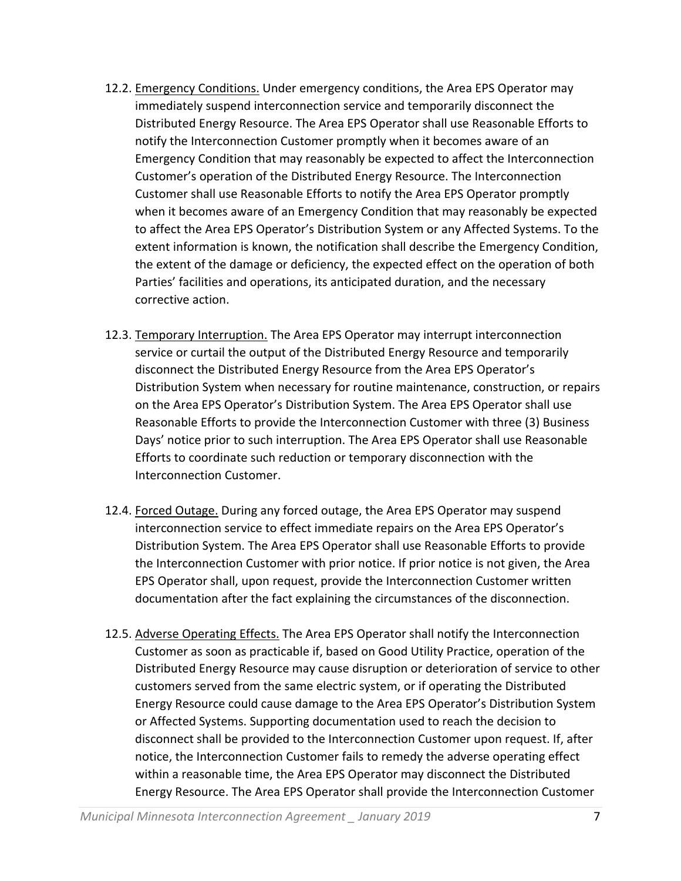- 12.2. Emergency Conditions. Under emergency conditions, the Area EPS Operator may immediately suspend interconnection service and temporarily disconnect the Distributed Energy Resource. The Area EPS Operator shall use Reasonable Efforts to notify the Interconnection Customer promptly when it becomes aware of an Emergency Condition that may reasonably be expected to affect the Interconnection Customer's operation of the Distributed Energy Resource. The Interconnection Customer shall use Reasonable Efforts to notify the Area EPS Operator promptly when it becomes aware of an Emergency Condition that may reasonably be expected to affect the Area EPS Operator's Distribution System or any Affected Systems. To the extent information is known, the notification shall describe the Emergency Condition, the extent of the damage or deficiency, the expected effect on the operation of both Parties' facilities and operations, its anticipated duration, and the necessary corrective action.
- 12.3. Temporary Interruption. The Area EPS Operator may interrupt interconnection service or curtail the output of the Distributed Energy Resource and temporarily disconnect the Distributed Energy Resource from the Area EPS Operator's Distribution System when necessary for routine maintenance, construction, or repairs on the Area EPS Operator's Distribution System. The Area EPS Operator shall use Reasonable Efforts to provide the Interconnection Customer with three (3) Business Days' notice prior to such interruption. The Area EPS Operator shall use Reasonable Efforts to coordinate such reduction or temporary disconnection with the Interconnection Customer.
- 12.4. Forced Outage. During any forced outage, the Area EPS Operator may suspend interconnection service to effect immediate repairs on the Area EPS Operator's Distribution System. The Area EPS Operator shall use Reasonable Efforts to provide the Interconnection Customer with prior notice. If prior notice is not given, the Area EPS Operator shall, upon request, provide the Interconnection Customer written documentation after the fact explaining the circumstances of the disconnection.
- 12.5. Adverse Operating Effects. The Area EPS Operator shall notify the Interconnection Customer as soon as practicable if, based on Good Utility Practice, operation of the Distributed Energy Resource may cause disruption or deterioration of service to other customers served from the same electric system, or if operating the Distributed Energy Resource could cause damage to the Area EPS Operator's Distribution System or Affected Systems. Supporting documentation used to reach the decision to disconnect shall be provided to the Interconnection Customer upon request. If, after notice, the Interconnection Customer fails to remedy the adverse operating effect within a reasonable time, the Area EPS Operator may disconnect the Distributed Energy Resource. The Area EPS Operator shall provide the Interconnection Customer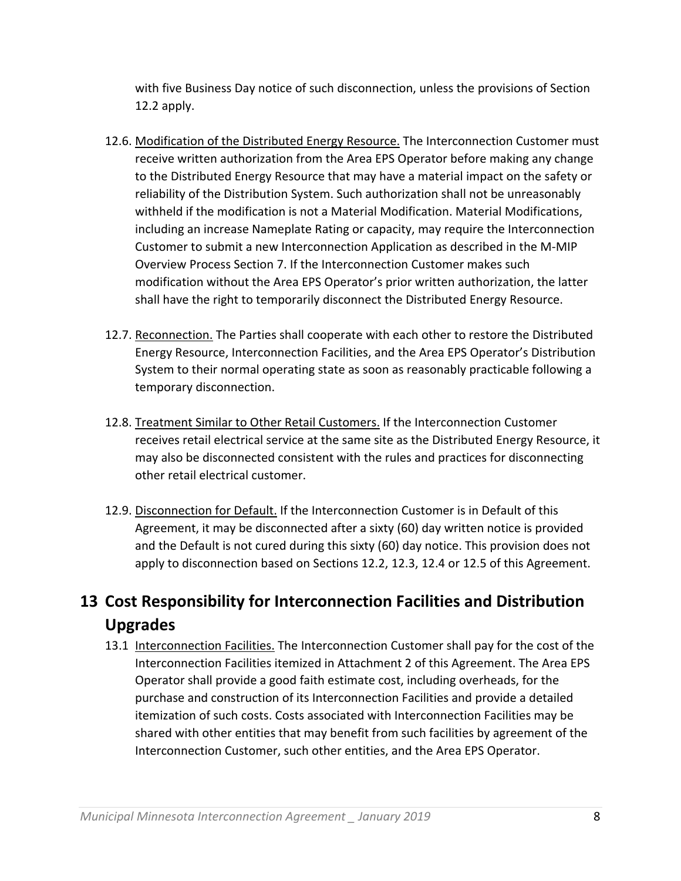with five Business Day notice of such disconnection, unless the provisions of Section 12.2 apply.

- 12.6. Modification of the Distributed Energy Resource. The Interconnection Customer must receive written authorization from the Area EPS Operator before making any change to the Distributed Energy Resource that may have a material impact on the safety or reliability of the Distribution System. Such authorization shall not be unreasonably withheld if the modification is not a Material Modification. Material Modifications, including an increase Nameplate Rating or capacity, may require the Interconnection Customer to submit a new Interconnection Application as described in the M‐MIP Overview Process Section 7. If the Interconnection Customer makes such modification without the Area EPS Operator's prior written authorization, the latter shall have the right to temporarily disconnect the Distributed Energy Resource.
- 12.7. Reconnection. The Parties shall cooperate with each other to restore the Distributed Energy Resource, Interconnection Facilities, and the Area EPS Operator's Distribution System to their normal operating state as soon as reasonably practicable following a temporary disconnection.
- 12.8. Treatment Similar to Other Retail Customers. If the Interconnection Customer receives retail electrical service at the same site as the Distributed Energy Resource, it may also be disconnected consistent with the rules and practices for disconnecting other retail electrical customer.
- 12.9. Disconnection for Default. If the Interconnection Customer is in Default of this Agreement, it may be disconnected after a sixty (60) day written notice is provided and the Default is not cured during this sixty (60) day notice. This provision does not apply to disconnection based on Sections 12.2, 12.3, 12.4 or 12.5 of this Agreement.

# **13 Cost Responsibility for Interconnection Facilities and Distribution Upgrades**

13.1 Interconnection Facilities. The Interconnection Customer shall pay for the cost of the Interconnection Facilities itemized in Attachment 2 of this Agreement. The Area EPS Operator shall provide a good faith estimate cost, including overheads, for the purchase and construction of its Interconnection Facilities and provide a detailed itemization of such costs. Costs associated with Interconnection Facilities may be shared with other entities that may benefit from such facilities by agreement of the Interconnection Customer, such other entities, and the Area EPS Operator.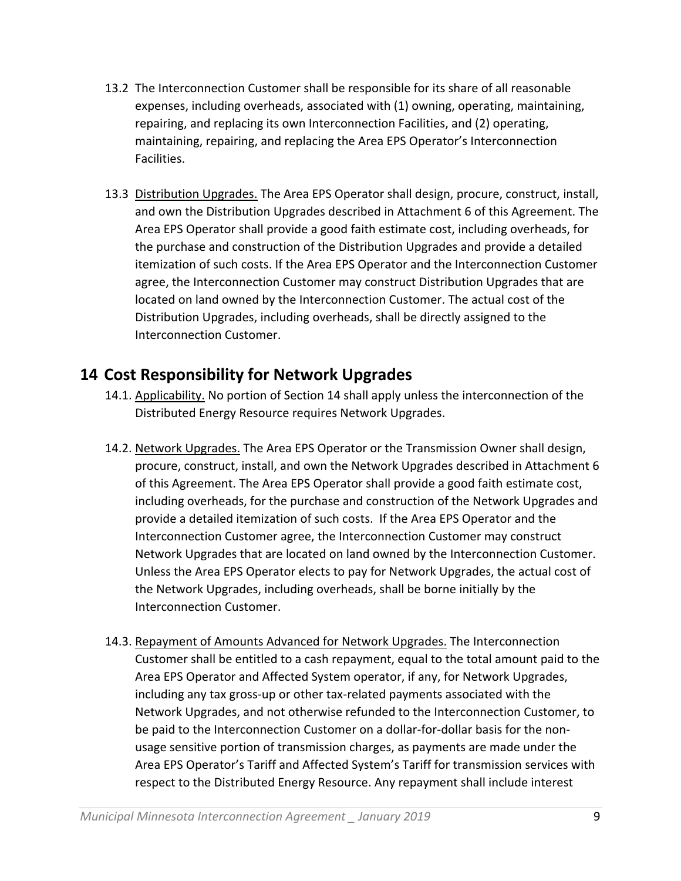- 13.2 The Interconnection Customer shall be responsible for its share of all reasonable expenses, including overheads, associated with (1) owning, operating, maintaining, repairing, and replacing its own Interconnection Facilities, and (2) operating, maintaining, repairing, and replacing the Area EPS Operator's Interconnection Facilities.
- 13.3 Distribution Upgrades. The Area EPS Operator shall design, procure, construct, install, and own the Distribution Upgrades described in Attachment 6 of this Agreement. The Area EPS Operator shall provide a good faith estimate cost, including overheads, for the purchase and construction of the Distribution Upgrades and provide a detailed itemization of such costs. If the Area EPS Operator and the Interconnection Customer agree, the Interconnection Customer may construct Distribution Upgrades that are located on land owned by the Interconnection Customer. The actual cost of the Distribution Upgrades, including overheads, shall be directly assigned to the Interconnection Customer.

#### **14 Cost Responsibility for Network Upgrades**

- 14.1. Applicability. No portion of Section 14 shall apply unless the interconnection of the Distributed Energy Resource requires Network Upgrades.
- 14.2. Network Upgrades. The Area EPS Operator or the Transmission Owner shall design, procure, construct, install, and own the Network Upgrades described in Attachment 6 of this Agreement. The Area EPS Operator shall provide a good faith estimate cost, including overheads, for the purchase and construction of the Network Upgrades and provide a detailed itemization of such costs. If the Area EPS Operator and the Interconnection Customer agree, the Interconnection Customer may construct Network Upgrades that are located on land owned by the Interconnection Customer. Unless the Area EPS Operator elects to pay for Network Upgrades, the actual cost of the Network Upgrades, including overheads, shall be borne initially by the Interconnection Customer.
- 14.3. Repayment of Amounts Advanced for Network Upgrades. The Interconnection Customer shall be entitled to a cash repayment, equal to the total amount paid to the Area EPS Operator and Affected System operator, if any, for Network Upgrades, including any tax gross‐up or other tax‐related payments associated with the Network Upgrades, and not otherwise refunded to the Interconnection Customer, to be paid to the Interconnection Customer on a dollar-for-dollar basis for the nonusage sensitive portion of transmission charges, as payments are made under the Area EPS Operator's Tariff and Affected System's Tariff for transmission services with respect to the Distributed Energy Resource. Any repayment shall include interest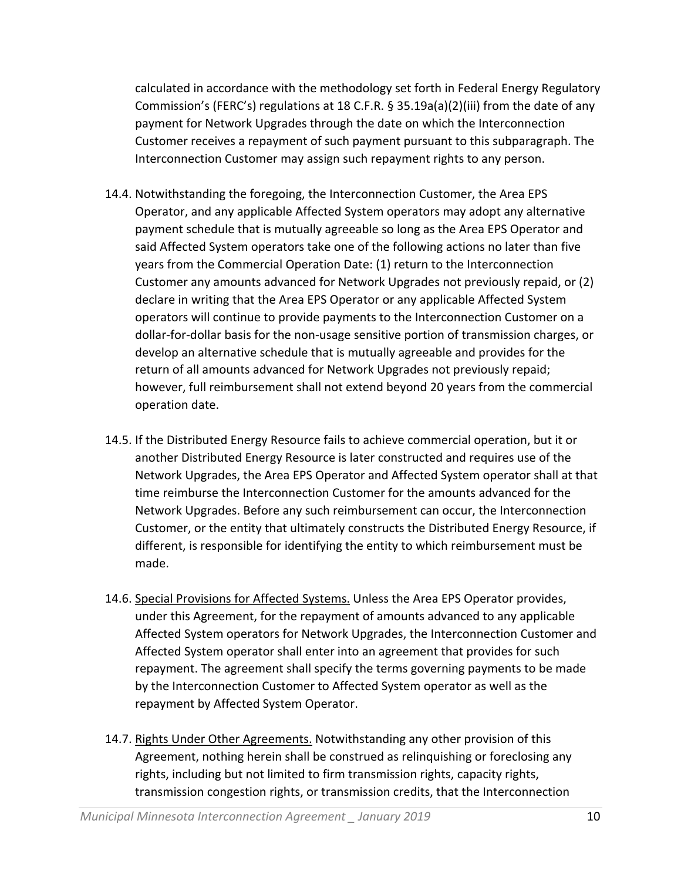calculated in accordance with the methodology set forth in Federal Energy Regulatory Commission's (FERC's) regulations at 18 C.F.R. § 35.19a(a)(2)(iii) from the date of any payment for Network Upgrades through the date on which the Interconnection Customer receives a repayment of such payment pursuant to this subparagraph. The Interconnection Customer may assign such repayment rights to any person.

- 14.4. Notwithstanding the foregoing, the Interconnection Customer, the Area EPS Operator, and any applicable Affected System operators may adopt any alternative payment schedule that is mutually agreeable so long as the Area EPS Operator and said Affected System operators take one of the following actions no later than five years from the Commercial Operation Date: (1) return to the Interconnection Customer any amounts advanced for Network Upgrades not previously repaid, or (2) declare in writing that the Area EPS Operator or any applicable Affected System operators will continue to provide payments to the Interconnection Customer on a dollar‐for‐dollar basis for the non‐usage sensitive portion of transmission charges, or develop an alternative schedule that is mutually agreeable and provides for the return of all amounts advanced for Network Upgrades not previously repaid; however, full reimbursement shall not extend beyond 20 years from the commercial operation date.
- 14.5. If the Distributed Energy Resource fails to achieve commercial operation, but it or another Distributed Energy Resource is later constructed and requires use of the Network Upgrades, the Area EPS Operator and Affected System operator shall at that time reimburse the Interconnection Customer for the amounts advanced for the Network Upgrades. Before any such reimbursement can occur, the Interconnection Customer, or the entity that ultimately constructs the Distributed Energy Resource, if different, is responsible for identifying the entity to which reimbursement must be made.
- 14.6. Special Provisions for Affected Systems. Unless the Area EPS Operator provides, under this Agreement, for the repayment of amounts advanced to any applicable Affected System operators for Network Upgrades, the Interconnection Customer and Affected System operator shall enter into an agreement that provides for such repayment. The agreement shall specify the terms governing payments to be made by the Interconnection Customer to Affected System operator as well as the repayment by Affected System Operator.
- 14.7. Rights Under Other Agreements. Notwithstanding any other provision of this Agreement, nothing herein shall be construed as relinquishing or foreclosing any rights, including but not limited to firm transmission rights, capacity rights, transmission congestion rights, or transmission credits, that the Interconnection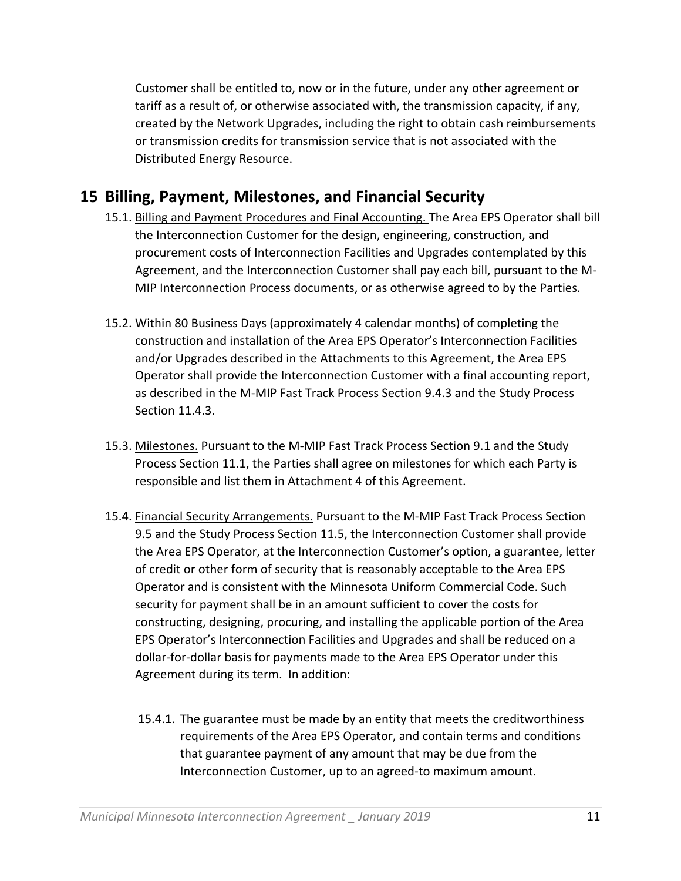Customer shall be entitled to, now or in the future, under any other agreement or tariff as a result of, or otherwise associated with, the transmission capacity, if any, created by the Network Upgrades, including the right to obtain cash reimbursements or transmission credits for transmission service that is not associated with the Distributed Energy Resource.

#### **15 Billing, Payment, Milestones, and Financial Security**

- 15.1. Billing and Payment Procedures and Final Accounting. The Area EPS Operator shall bill the Interconnection Customer for the design, engineering, construction, and procurement costs of Interconnection Facilities and Upgrades contemplated by this Agreement, and the Interconnection Customer shall pay each bill, pursuant to the M‐ MIP Interconnection Process documents, or as otherwise agreed to by the Parties.
- 15.2. Within 80 Business Days (approximately 4 calendar months) of completing the construction and installation of the Area EPS Operator's Interconnection Facilities and/or Upgrades described in the Attachments to this Agreement, the Area EPS Operator shall provide the Interconnection Customer with a final accounting report, as described in the M‐MIP Fast Track Process Section 9.4.3 and the Study Process Section 11.4.3.
- 15.3. Milestones. Pursuant to the M-MIP Fast Track Process Section 9.1 and the Study Process Section 11.1, the Parties shall agree on milestones for which each Party is responsible and list them in Attachment 4 of this Agreement.
- 15.4. Financial Security Arrangements. Pursuant to the M‐MIP Fast Track Process Section 9.5 and the Study Process Section 11.5, the Interconnection Customer shall provide the Area EPS Operator, at the Interconnection Customer's option, a guarantee, letter of credit or other form of security that is reasonably acceptable to the Area EPS Operator and is consistent with the Minnesota Uniform Commercial Code. Such security for payment shall be in an amount sufficient to cover the costs for constructing, designing, procuring, and installing the applicable portion of the Area EPS Operator's Interconnection Facilities and Upgrades and shall be reduced on a dollar‐for‐dollar basis for payments made to the Area EPS Operator under this Agreement during its term. In addition:
	- 15.4.1. The guarantee must be made by an entity that meets the creditworthiness requirements of the Area EPS Operator, and contain terms and conditions that guarantee payment of any amount that may be due from the Interconnection Customer, up to an agreed‐to maximum amount.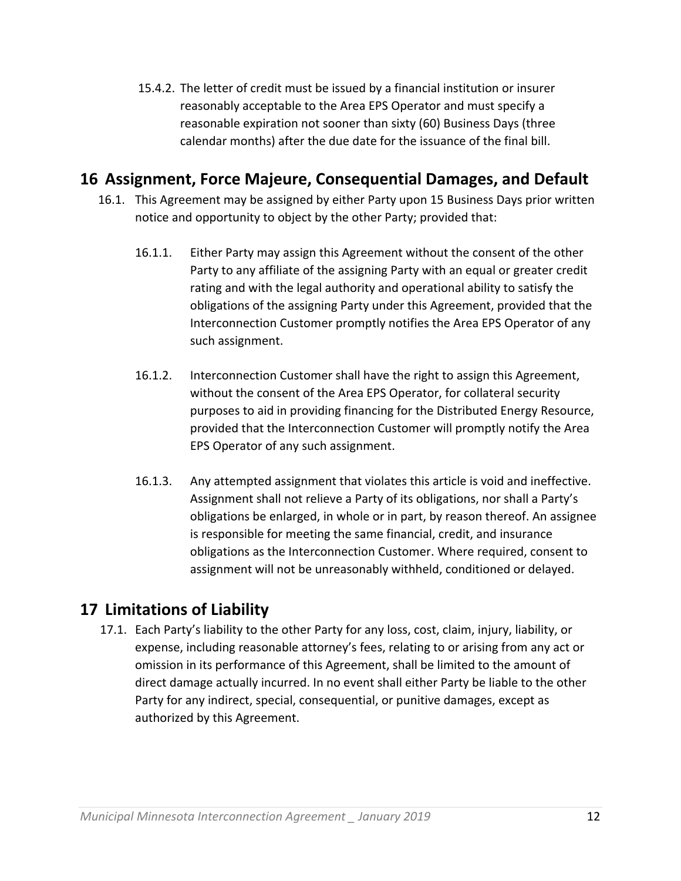15.4.2. The letter of credit must be issued by a financial institution or insurer reasonably acceptable to the Area EPS Operator and must specify a reasonable expiration not sooner than sixty (60) Business Days (three calendar months) after the due date for the issuance of the final bill.

#### **16 Assignment, Force Majeure, Consequential Damages, and Default**

- 16.1. This Agreement may be assigned by either Party upon 15 Business Days prior written notice and opportunity to object by the other Party; provided that:
	- 16.1.1. Either Party may assign this Agreement without the consent of the other Party to any affiliate of the assigning Party with an equal or greater credit rating and with the legal authority and operational ability to satisfy the obligations of the assigning Party under this Agreement, provided that the Interconnection Customer promptly notifies the Area EPS Operator of any such assignment.
	- 16.1.2. Interconnection Customer shall have the right to assign this Agreement, without the consent of the Area EPS Operator, for collateral security purposes to aid in providing financing for the Distributed Energy Resource, provided that the Interconnection Customer will promptly notify the Area EPS Operator of any such assignment.
	- 16.1.3. Any attempted assignment that violates this article is void and ineffective. Assignment shall not relieve a Party of its obligations, nor shall a Party's obligations be enlarged, in whole or in part, by reason thereof. An assignee is responsible for meeting the same financial, credit, and insurance obligations as the Interconnection Customer. Where required, consent to assignment will not be unreasonably withheld, conditioned or delayed.

# **17 Limitations of Liability**

17.1. Each Party's liability to the other Party for any loss, cost, claim, injury, liability, or expense, including reasonable attorney's fees, relating to or arising from any act or omission in its performance of this Agreement, shall be limited to the amount of direct damage actually incurred. In no event shall either Party be liable to the other Party for any indirect, special, consequential, or punitive damages, except as authorized by this Agreement.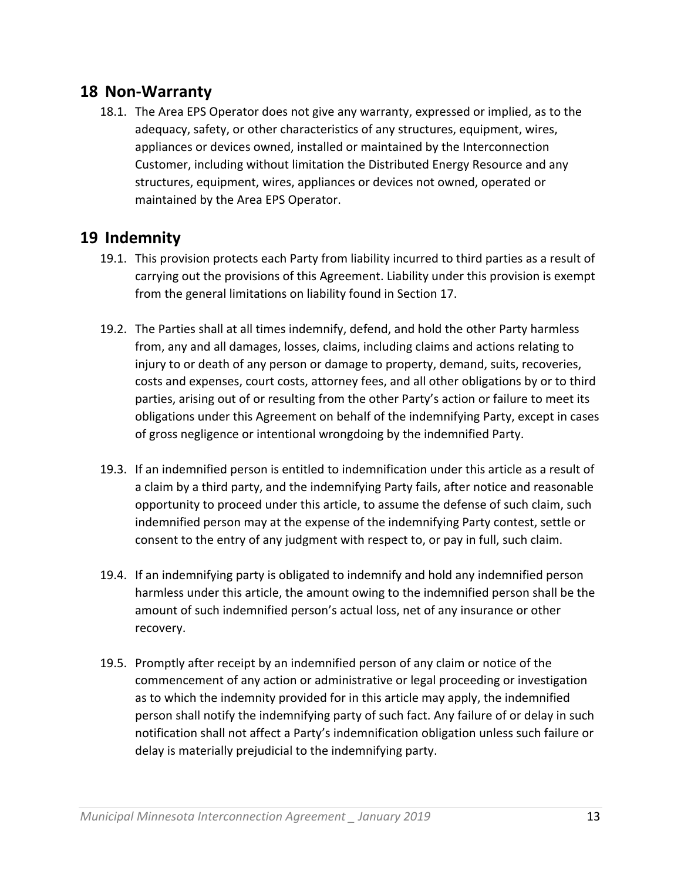#### **18 Non‐Warranty**

18.1. The Area EPS Operator does not give any warranty, expressed or implied, as to the adequacy, safety, or other characteristics of any structures, equipment, wires, appliances or devices owned, installed or maintained by the Interconnection Customer, including without limitation the Distributed Energy Resource and any structures, equipment, wires, appliances or devices not owned, operated or maintained by the Area EPS Operator.

#### **19 Indemnity**

- 19.1. This provision protects each Party from liability incurred to third parties as a result of carrying out the provisions of this Agreement. Liability under this provision is exempt from the general limitations on liability found in Section 17.
- 19.2. The Parties shall at all times indemnify, defend, and hold the other Party harmless from, any and all damages, losses, claims, including claims and actions relating to injury to or death of any person or damage to property, demand, suits, recoveries, costs and expenses, court costs, attorney fees, and all other obligations by or to third parties, arising out of or resulting from the other Party's action or failure to meet its obligations under this Agreement on behalf of the indemnifying Party, except in cases of gross negligence or intentional wrongdoing by the indemnified Party.
- 19.3. If an indemnified person is entitled to indemnification under this article as a result of a claim by a third party, and the indemnifying Party fails, after notice and reasonable opportunity to proceed under this article, to assume the defense of such claim, such indemnified person may at the expense of the indemnifying Party contest, settle or consent to the entry of any judgment with respect to, or pay in full, such claim.
- 19.4. If an indemnifying party is obligated to indemnify and hold any indemnified person harmless under this article, the amount owing to the indemnified person shall be the amount of such indemnified person's actual loss, net of any insurance or other recovery.
- 19.5. Promptly after receipt by an indemnified person of any claim or notice of the commencement of any action or administrative or legal proceeding or investigation as to which the indemnity provided for in this article may apply, the indemnified person shall notify the indemnifying party of such fact. Any failure of or delay in such notification shall not affect a Party's indemnification obligation unless such failure or delay is materially prejudicial to the indemnifying party.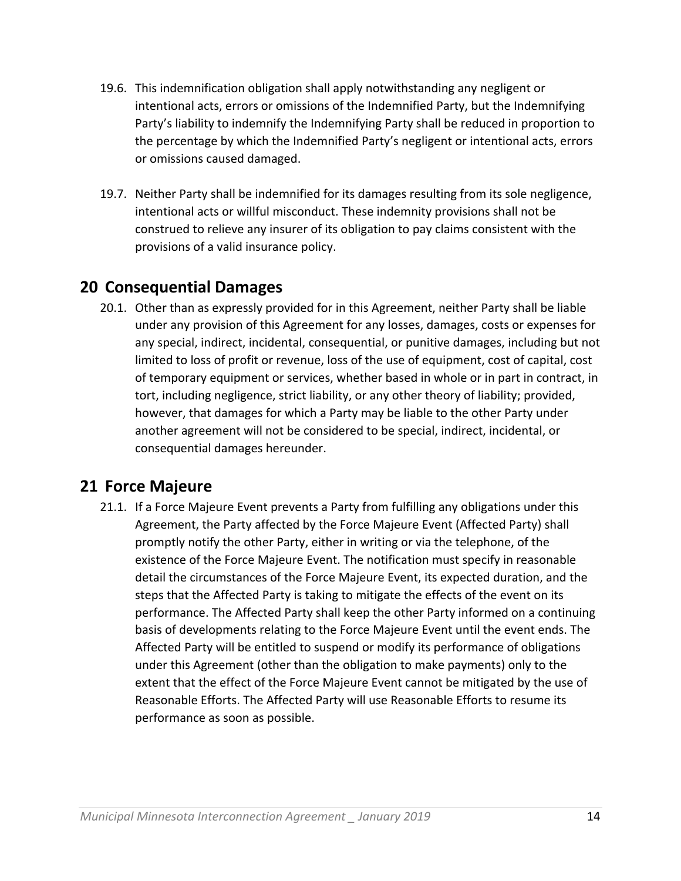- 19.6. This indemnification obligation shall apply notwithstanding any negligent or intentional acts, errors or omissions of the Indemnified Party, but the Indemnifying Party's liability to indemnify the Indemnifying Party shall be reduced in proportion to the percentage by which the Indemnified Party's negligent or intentional acts, errors or omissions caused damaged.
- 19.7. Neither Party shall be indemnified for its damages resulting from its sole negligence, intentional acts or willful misconduct. These indemnity provisions shall not be construed to relieve any insurer of its obligation to pay claims consistent with the provisions of a valid insurance policy.

#### **20 Consequential Damages**

20.1. Other than as expressly provided for in this Agreement, neither Party shall be liable under any provision of this Agreement for any losses, damages, costs or expenses for any special, indirect, incidental, consequential, or punitive damages, including but not limited to loss of profit or revenue, loss of the use of equipment, cost of capital, cost of temporary equipment or services, whether based in whole or in part in contract, in tort, including negligence, strict liability, or any other theory of liability; provided, however, that damages for which a Party may be liable to the other Party under another agreement will not be considered to be special, indirect, incidental, or consequential damages hereunder.

#### **21 Force Majeure**

21.1. If a Force Majeure Event prevents a Party from fulfilling any obligations under this Agreement, the Party affected by the Force Majeure Event (Affected Party) shall promptly notify the other Party, either in writing or via the telephone, of the existence of the Force Majeure Event. The notification must specify in reasonable detail the circumstances of the Force Majeure Event, its expected duration, and the steps that the Affected Party is taking to mitigate the effects of the event on its performance. The Affected Party shall keep the other Party informed on a continuing basis of developments relating to the Force Majeure Event until the event ends. The Affected Party will be entitled to suspend or modify its performance of obligations under this Agreement (other than the obligation to make payments) only to the extent that the effect of the Force Majeure Event cannot be mitigated by the use of Reasonable Efforts. The Affected Party will use Reasonable Efforts to resume its performance as soon as possible.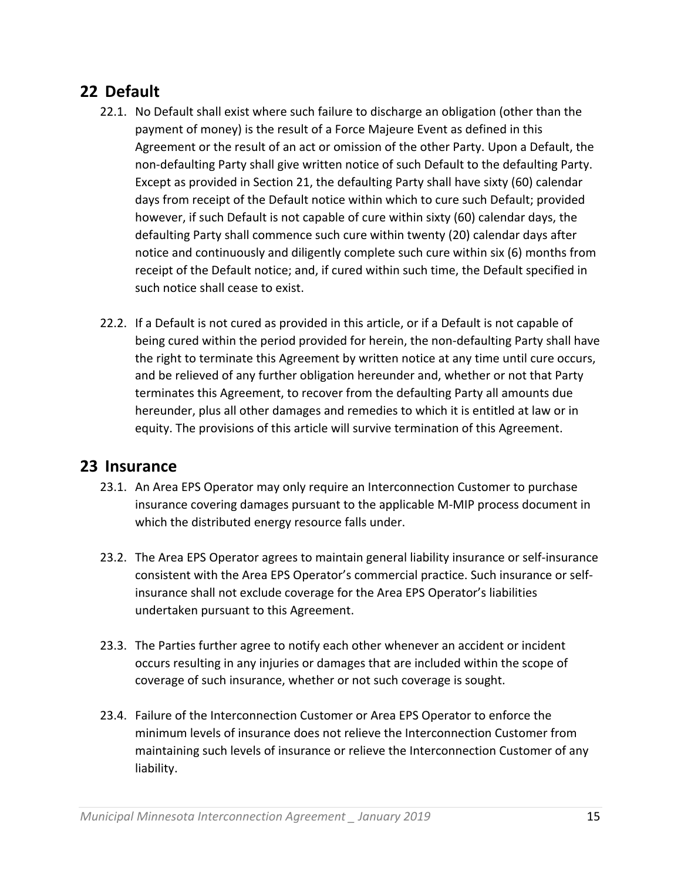### **22 Default**

- 22.1. No Default shall exist where such failure to discharge an obligation (other than the payment of money) is the result of a Force Majeure Event as defined in this Agreement or the result of an act or omission of the other Party. Upon a Default, the non‐defaulting Party shall give written notice of such Default to the defaulting Party. Except as provided in Section 21, the defaulting Party shall have sixty (60) calendar days from receipt of the Default notice within which to cure such Default; provided however, if such Default is not capable of cure within sixty (60) calendar days, the defaulting Party shall commence such cure within twenty (20) calendar days after notice and continuously and diligently complete such cure within six (6) months from receipt of the Default notice; and, if cured within such time, the Default specified in such notice shall cease to exist.
- 22.2. If a Default is not cured as provided in this article, or if a Default is not capable of being cured within the period provided for herein, the non-defaulting Party shall have the right to terminate this Agreement by written notice at any time until cure occurs, and be relieved of any further obligation hereunder and, whether or not that Party terminates this Agreement, to recover from the defaulting Party all amounts due hereunder, plus all other damages and remedies to which it is entitled at law or in equity. The provisions of this article will survive termination of this Agreement.

#### **23 Insurance**

- 23.1. An Area EPS Operator may only require an Interconnection Customer to purchase insurance covering damages pursuant to the applicable M‐MIP process document in which the distributed energy resource falls under.
- 23.2. The Area EPS Operator agrees to maintain general liability insurance or self‐insurance consistent with the Area EPS Operator's commercial practice. Such insurance or self‐ insurance shall not exclude coverage for the Area EPS Operator's liabilities undertaken pursuant to this Agreement.
- 23.3. The Parties further agree to notify each other whenever an accident or incident occurs resulting in any injuries or damages that are included within the scope of coverage of such insurance, whether or not such coverage is sought.
- 23.4. Failure of the Interconnection Customer or Area EPS Operator to enforce the minimum levels of insurance does not relieve the Interconnection Customer from maintaining such levels of insurance or relieve the Interconnection Customer of any liability.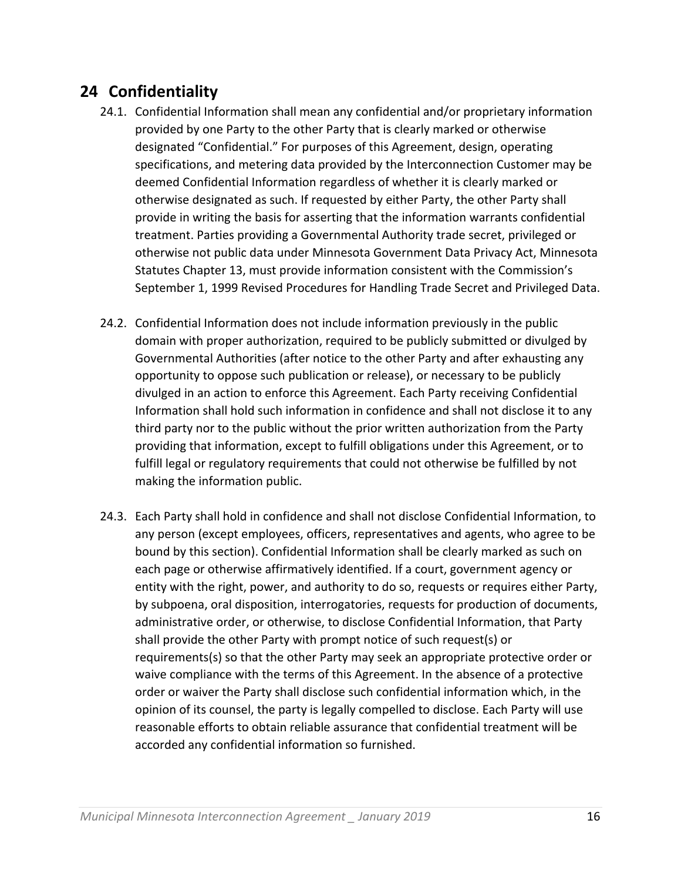## **24 Confidentiality**

- 24.1. Confidential Information shall mean any confidential and/or proprietary information provided by one Party to the other Party that is clearly marked or otherwise designated "Confidential." For purposes of this Agreement, design, operating specifications, and metering data provided by the Interconnection Customer may be deemed Confidential Information regardless of whether it is clearly marked or otherwise designated as such. If requested by either Party, the other Party shall provide in writing the basis for asserting that the information warrants confidential treatment. Parties providing a Governmental Authority trade secret, privileged or otherwise not public data under Minnesota Government Data Privacy Act, Minnesota Statutes Chapter 13, must provide information consistent with the Commission's September 1, 1999 Revised Procedures for Handling Trade Secret and Privileged Data.
- 24.2. Confidential Information does not include information previously in the public domain with proper authorization, required to be publicly submitted or divulged by Governmental Authorities (after notice to the other Party and after exhausting any opportunity to oppose such publication or release), or necessary to be publicly divulged in an action to enforce this Agreement. Each Party receiving Confidential Information shall hold such information in confidence and shall not disclose it to any third party nor to the public without the prior written authorization from the Party providing that information, except to fulfill obligations under this Agreement, or to fulfill legal or regulatory requirements that could not otherwise be fulfilled by not making the information public.
- 24.3. Each Party shall hold in confidence and shall not disclose Confidential Information, to any person (except employees, officers, representatives and agents, who agree to be bound by this section). Confidential Information shall be clearly marked as such on each page or otherwise affirmatively identified. If a court, government agency or entity with the right, power, and authority to do so, requests or requires either Party, by subpoena, oral disposition, interrogatories, requests for production of documents, administrative order, or otherwise, to disclose Confidential Information, that Party shall provide the other Party with prompt notice of such request(s) or requirements(s) so that the other Party may seek an appropriate protective order or waive compliance with the terms of this Agreement. In the absence of a protective order or waiver the Party shall disclose such confidential information which, in the opinion of its counsel, the party is legally compelled to disclose. Each Party will use reasonable efforts to obtain reliable assurance that confidential treatment will be accorded any confidential information so furnished.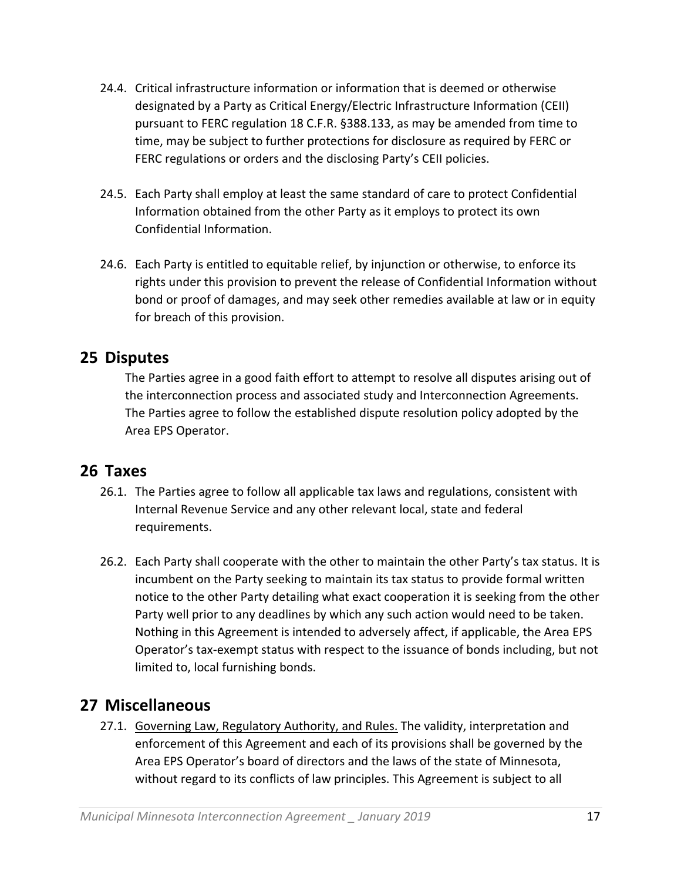- 24.4. Critical infrastructure information or information that is deemed or otherwise designated by a Party as Critical Energy/Electric Infrastructure Information (CEII) pursuant to FERC regulation 18 C.F.R. §388.133, as may be amended from time to time, may be subject to further protections for disclosure as required by FERC or FERC regulations or orders and the disclosing Party's CEII policies.
- 24.5. Each Party shall employ at least the same standard of care to protect Confidential Information obtained from the other Party as it employs to protect its own Confidential Information.
- 24.6. Each Party is entitled to equitable relief, by injunction or otherwise, to enforce its rights under this provision to prevent the release of Confidential Information without bond or proof of damages, and may seek other remedies available at law or in equity for breach of this provision.

#### **25 Disputes**

The Parties agree in a good faith effort to attempt to resolve all disputes arising out of the interconnection process and associated study and Interconnection Agreements. The Parties agree to follow the established dispute resolution policy adopted by the Area EPS Operator.

#### **26 Taxes**

- 26.1. The Parties agree to follow all applicable tax laws and regulations, consistent with Internal Revenue Service and any other relevant local, state and federal requirements.
- 26.2. Each Party shall cooperate with the other to maintain the other Party's tax status. It is incumbent on the Party seeking to maintain its tax status to provide formal written notice to the other Party detailing what exact cooperation it is seeking from the other Party well prior to any deadlines by which any such action would need to be taken. Nothing in this Agreement is intended to adversely affect, if applicable, the Area EPS Operator's tax‐exempt status with respect to the issuance of bonds including, but not limited to, local furnishing bonds.

#### **27 Miscellaneous**

27.1. Governing Law, Regulatory Authority, and Rules. The validity, interpretation and enforcement of this Agreement and each of its provisions shall be governed by the Area EPS Operator's board of directors and the laws of the state of Minnesota, without regard to its conflicts of law principles. This Agreement is subject to all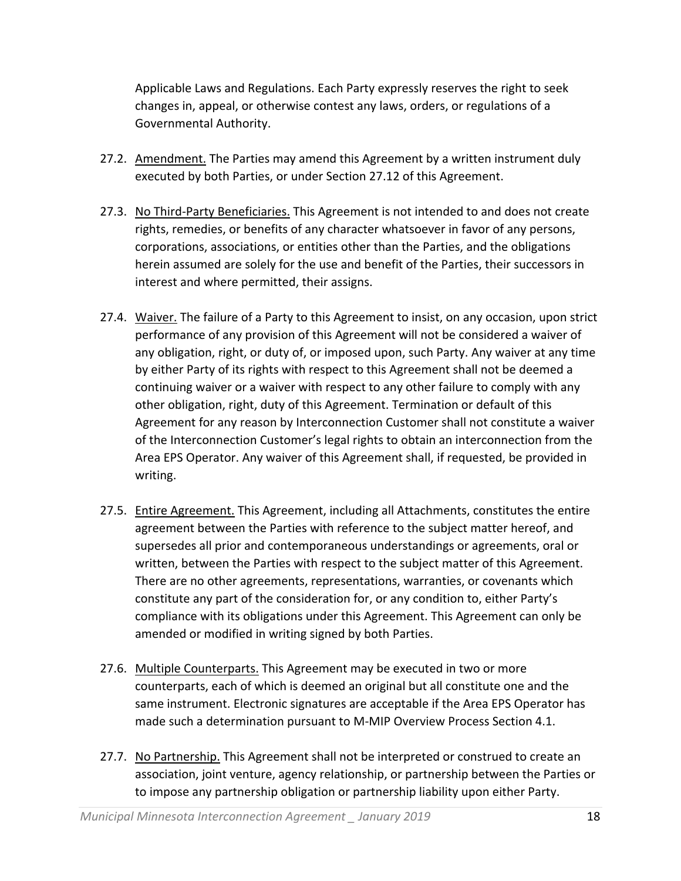Applicable Laws and Regulations. Each Party expressly reserves the right to seek changes in, appeal, or otherwise contest any laws, orders, or regulations of a Governmental Authority.

- 27.2. Amendment. The Parties may amend this Agreement by a written instrument duly executed by both Parties, or under Section 27.12 of this Agreement.
- 27.3. No Third-Party Beneficiaries. This Agreement is not intended to and does not create rights, remedies, or benefits of any character whatsoever in favor of any persons, corporations, associations, or entities other than the Parties, and the obligations herein assumed are solely for the use and benefit of the Parties, their successors in interest and where permitted, their assigns.
- 27.4. Waiver. The failure of a Party to this Agreement to insist, on any occasion, upon strict performance of any provision of this Agreement will not be considered a waiver of any obligation, right, or duty of, or imposed upon, such Party. Any waiver at any time by either Party of its rights with respect to this Agreement shall not be deemed a continuing waiver or a waiver with respect to any other failure to comply with any other obligation, right, duty of this Agreement. Termination or default of this Agreement for any reason by Interconnection Customer shall not constitute a waiver of the Interconnection Customer's legal rights to obtain an interconnection from the Area EPS Operator. Any waiver of this Agreement shall, if requested, be provided in writing.
- 27.5. Entire Agreement. This Agreement, including all Attachments, constitutes the entire agreement between the Parties with reference to the subject matter hereof, and supersedes all prior and contemporaneous understandings or agreements, oral or written, between the Parties with respect to the subject matter of this Agreement. There are no other agreements, representations, warranties, or covenants which constitute any part of the consideration for, or any condition to, either Party's compliance with its obligations under this Agreement. This Agreement can only be amended or modified in writing signed by both Parties.
- 27.6. Multiple Counterparts. This Agreement may be executed in two or more counterparts, each of which is deemed an original but all constitute one and the same instrument. Electronic signatures are acceptable if the Area EPS Operator has made such a determination pursuant to M-MIP Overview Process Section 4.1.
- 27.7. No Partnership. This Agreement shall not be interpreted or construed to create an association, joint venture, agency relationship, or partnership between the Parties or to impose any partnership obligation or partnership liability upon either Party.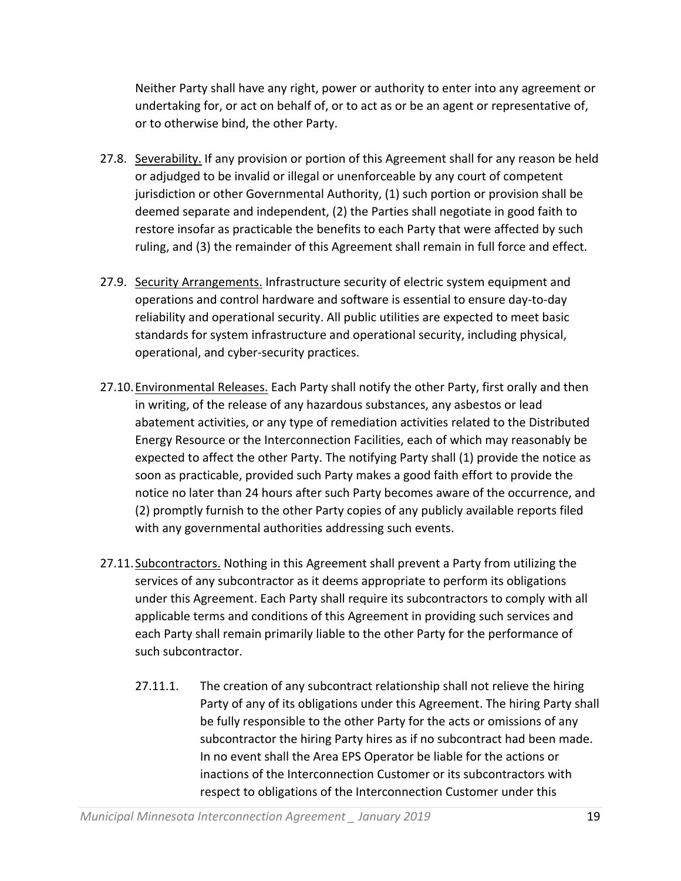Neither Party shall have any right, power or authority to enter into any agreement or undertaking for, or act on behalf of, or to act as or be an agent or representative of, or to otherwise bind, the other Party.

- 27.8. Severability. If any provision or portion of this Agreement shall for any reason be held or adjudged to be invalid or illegal or unenforceable by any court of competent jurisdiction or other Governmental Authority, (1) such portion or provision shall be deemed separate and independent, (2) the Parties shall negotiate in good faith to restore insofar as practicable the benefits to each Party that were affected by such ruling, and (3) the remainder of this Agreement shall remain in full force and effect.
- 27.9. Security Arrangements. Infrastructure security of electric system equipment and operations and control hardware and software is essential to ensure day‐to‐day reliability and operational security. All public utilities are expected to meet basic standards for system infrastructure and operational security, including physical, operational, and cyber‐security practices.
- 27.10.Environmental Releases. Each Party shall notify the other Party, first orally and then in writing, of the release of any hazardous substances, any asbestos or lead abatement activities, or any type of remediation activities related to the Distributed Energy Resource or the Interconnection Facilities, each of which may reasonably be expected to affect the other Party. The notifying Party shall (1) provide the notice as soon as practicable, provided such Party makes a good faith effort to provide the notice no later than 24 hours after such Party becomes aware of the occurrence, and (2) promptly furnish to the other Party copies of any publicly available reports filed with any governmental authorities addressing such events.
- 27.11.Subcontractors. Nothing in this Agreement shall prevent a Party from utilizing the services of any subcontractor as it deems appropriate to perform its obligations under this Agreement. Each Party shall require its subcontractors to comply with all applicable terms and conditions of this Agreement in providing such services and each Party shall remain primarily liable to the other Party for the performance of such subcontractor.
	- 27.11.1. The creation of any subcontract relationship shall not relieve the hiring Party of any of its obligations under this Agreement. The hiring Party shall be fully responsible to the other Party for the acts or omissions of any subcontractor the hiring Party hires as if no subcontract had been made. In no event shall the Area EPS Operator be liable for the actions or inactions of the Interconnection Customer or its subcontractors with respect to obligations of the Interconnection Customer under this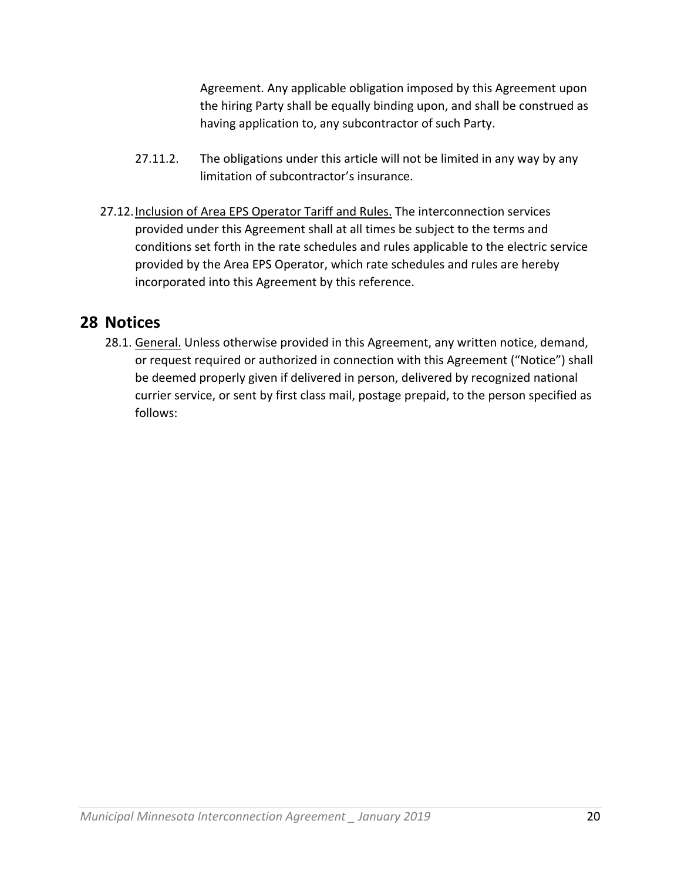Agreement. Any applicable obligation imposed by this Agreement upon the hiring Party shall be equally binding upon, and shall be construed as having application to, any subcontractor of such Party.

- 27.11.2. The obligations under this article will not be limited in any way by any limitation of subcontractor's insurance.
- 27.12. Inclusion of Area EPS Operator Tariff and Rules. The interconnection services provided under this Agreement shall at all times be subject to the terms and conditions set forth in the rate schedules and rules applicable to the electric service provided by the Area EPS Operator, which rate schedules and rules are hereby incorporated into this Agreement by this reference.

#### **28 Notices**

28.1. General. Unless otherwise provided in this Agreement, any written notice, demand, or request required or authorized in connection with this Agreement ("Notice") shall be deemed properly given if delivered in person, delivered by recognized national currier service, or sent by first class mail, postage prepaid, to the person specified as follows: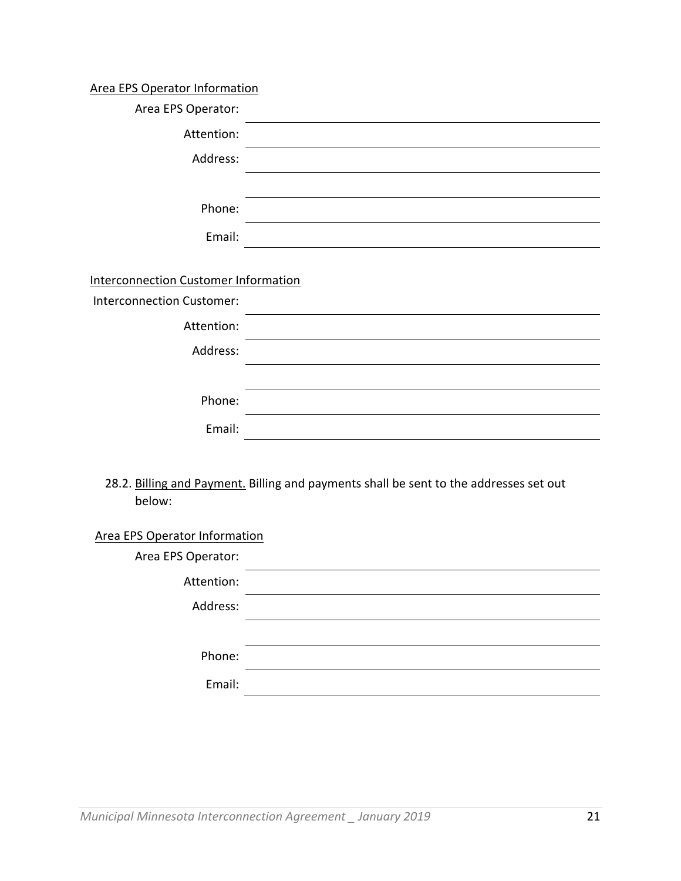#### Area EPS Operator Information

| Area EPS Operator:                          |                                                                                                 |
|---------------------------------------------|-------------------------------------------------------------------------------------------------|
| Attention:                                  |                                                                                                 |
| Address:                                    |                                                                                                 |
|                                             |                                                                                                 |
| Phone:                                      |                                                                                                 |
| Email:                                      |                                                                                                 |
|                                             |                                                                                                 |
| <b>Interconnection Customer Information</b> |                                                                                                 |
| <b>Interconnection Customer:</b>            |                                                                                                 |
| Attention:                                  |                                                                                                 |
| Address:                                    | the contract of the contract of the contract of the contract of the contract of the contract of |
|                                             |                                                                                                 |
| Phone:                                      |                                                                                                 |
| Email:                                      |                                                                                                 |
|                                             |                                                                                                 |
| below:                                      | 28.2. Billing and Payment. Billing and payments shall be sent to the addresses set out          |
| Area EPS Operator Information               |                                                                                                 |

| Area EPS Operator: |  |
|--------------------|--|
| Attention:         |  |
| Address:           |  |
|                    |  |
| Phone:             |  |
| Email:             |  |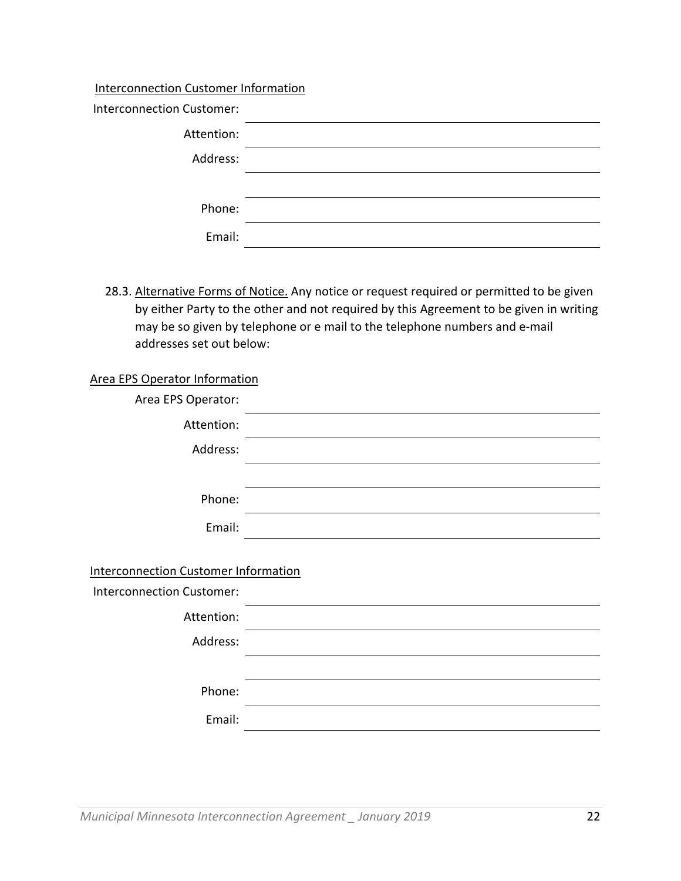#### Interconnection Customer Information

| <b>Interconnection Customer:</b> |  |
|----------------------------------|--|
| Attention:                       |  |
| Address:                         |  |
|                                  |  |
| Phone:                           |  |
| Email:                           |  |

28.3. Alternative Forms of Notice. Any notice or request required or permitted to be given by either Party to the other and not required by this Agreement to be given in writing may be so given by telephone or e mail to the telephone numbers and e‐mail addresses set out below:

#### Area EPS Operator Information

| Area EPS Operator:                          |                                                                                                                      |
|---------------------------------------------|----------------------------------------------------------------------------------------------------------------------|
| Attention:                                  |                                                                                                                      |
| Address:                                    |                                                                                                                      |
|                                             |                                                                                                                      |
| Phone:                                      |                                                                                                                      |
| Email:                                      |                                                                                                                      |
|                                             |                                                                                                                      |
| <b>Interconnection Customer Information</b> |                                                                                                                      |
| <b>Interconnection Customer:</b>            |                                                                                                                      |
| Attention:                                  | <u> 1980 - Johann John Stone, markin santa a shekara 1980 - Shekara 1980 - Shekara 1980 - Shekara 1980 - Shekara</u> |
| Address:                                    |                                                                                                                      |
|                                             |                                                                                                                      |
| Phone:                                      |                                                                                                                      |
| Email:                                      |                                                                                                                      |
|                                             |                                                                                                                      |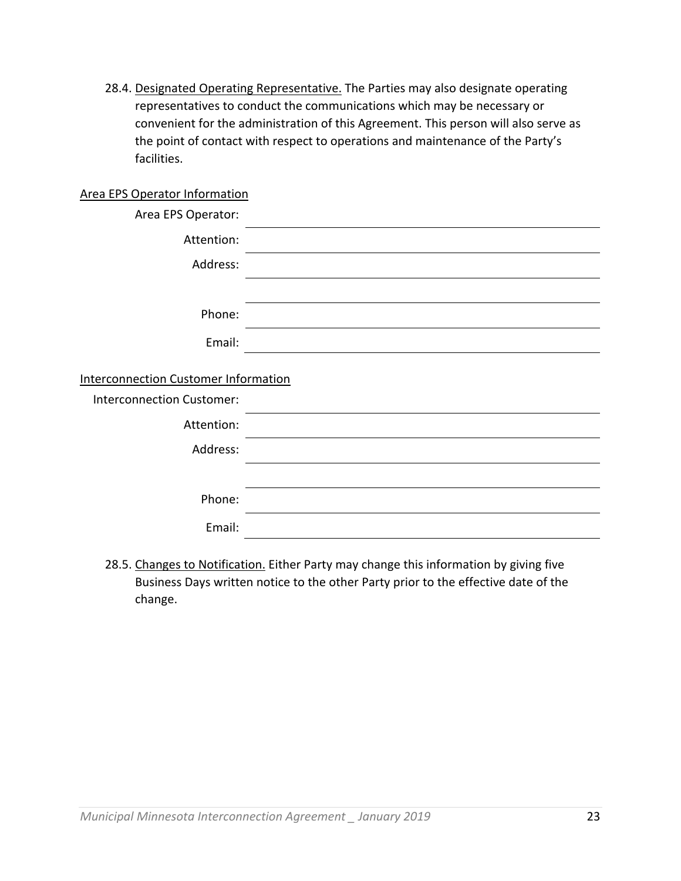28.4. Designated Operating Representative. The Parties may also designate operating representatives to conduct the communications which may be necessary or convenient for the administration of this Agreement. This person will also serve as the point of contact with respect to operations and maintenance of the Party's facilities.

#### Area EPS Operator Information

| Area EPS Operator:        |                                             |  |  |  |
|---------------------------|---------------------------------------------|--|--|--|
| Attention:                |                                             |  |  |  |
| Address:                  |                                             |  |  |  |
|                           |                                             |  |  |  |
| Phone:                    |                                             |  |  |  |
| Email:                    |                                             |  |  |  |
|                           | <b>Interconnection Customer Information</b> |  |  |  |
| Interconnection Customer: |                                             |  |  |  |
| Attention:                |                                             |  |  |  |
| Address:                  |                                             |  |  |  |
|                           |                                             |  |  |  |
| Phone:                    |                                             |  |  |  |
| Email:                    |                                             |  |  |  |
|                           |                                             |  |  |  |

28.5. Changes to Notification. Either Party may change this information by giving five Business Days written notice to the other Party prior to the effective date of the change.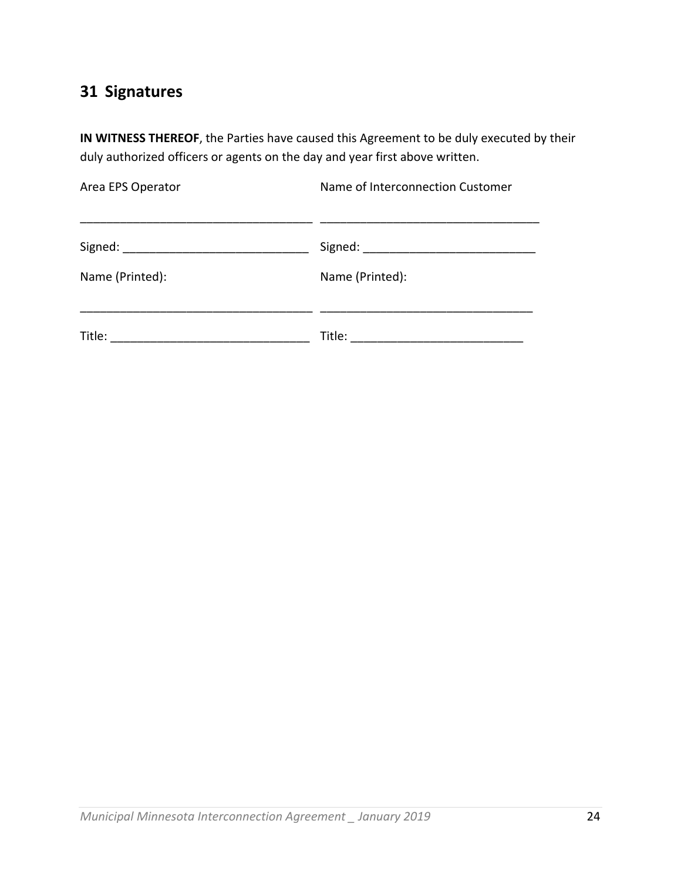# **31 Signatures**

**IN WITNESS THEREOF**, the Parties have caused this Agreement to be duly executed by their duly authorized officers or agents on the day and year first above written.

| Area EPS Operator | Name of Interconnection Customer |  |
|-------------------|----------------------------------|--|
| Signed:           | Signed:                          |  |
| Name (Printed):   | Name (Printed):                  |  |
| Title:            | Title:                           |  |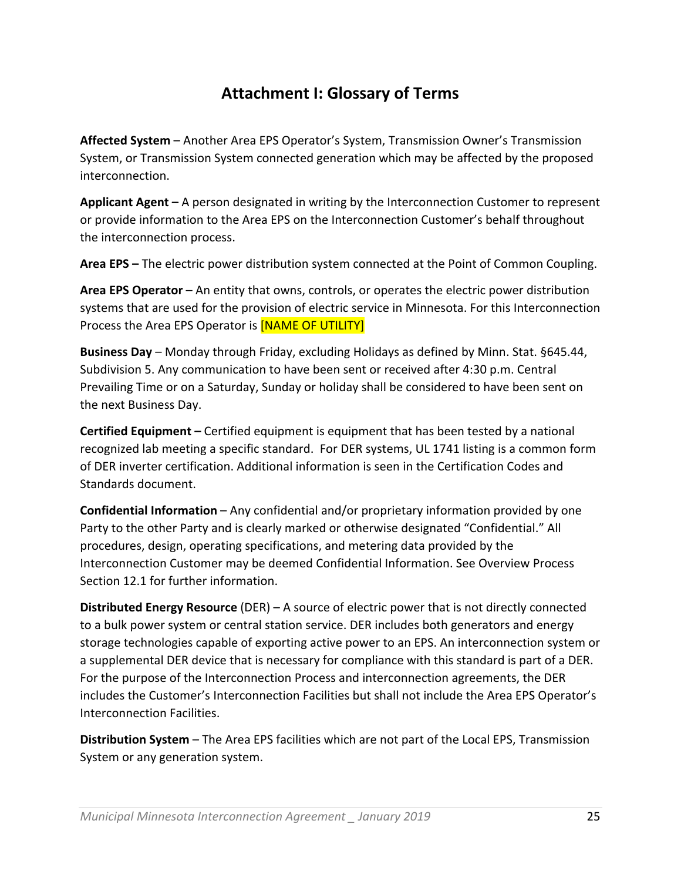## **Attachment I: Glossary of Terms**

**Affected System** – Another Area EPS Operator's System, Transmission Owner's Transmission System, or Transmission System connected generation which may be affected by the proposed interconnection.

**Applicant Agent –** A person designated in writing by the Interconnection Customer to represent or provide information to the Area EPS on the Interconnection Customer's behalf throughout the interconnection process.

**Area EPS –** The electric power distribution system connected at the Point of Common Coupling.

**Area EPS Operator** – An entity that owns, controls, or operates the electric power distribution systems that are used for the provision of electric service in Minnesota. For this Interconnection Process the Area EPS Operator is **[NAME OF UTILITY]** 

**Business Day** – Monday through Friday, excluding Holidays as defined by Minn. Stat. §645.44, Subdivision 5. Any communication to have been sent or received after 4:30 p.m. Central Prevailing Time or on a Saturday, Sunday or holiday shall be considered to have been sent on the next Business Day.

**Certified Equipment –** Certified equipment is equipment that has been tested by a national recognized lab meeting a specific standard. For DER systems, UL 1741 listing is a common form of DER inverter certification. Additional information is seen in the Certification Codes and Standards document.

**Confidential Information** – Any confidential and/or proprietary information provided by one Party to the other Party and is clearly marked or otherwise designated "Confidential." All procedures, design, operating specifications, and metering data provided by the Interconnection Customer may be deemed Confidential Information. See Overview Process Section 12.1 for further information.

**Distributed Energy Resource** (DER) – A source of electric power that is not directly connected to a bulk power system or central station service. DER includes both generators and energy storage technologies capable of exporting active power to an EPS. An interconnection system or a supplemental DER device that is necessary for compliance with this standard is part of a DER. For the purpose of the Interconnection Process and interconnection agreements, the DER includes the Customer's Interconnection Facilities but shall not include the Area EPS Operator's Interconnection Facilities.

**Distribution System** – The Area EPS facilities which are not part of the Local EPS, Transmission System or any generation system.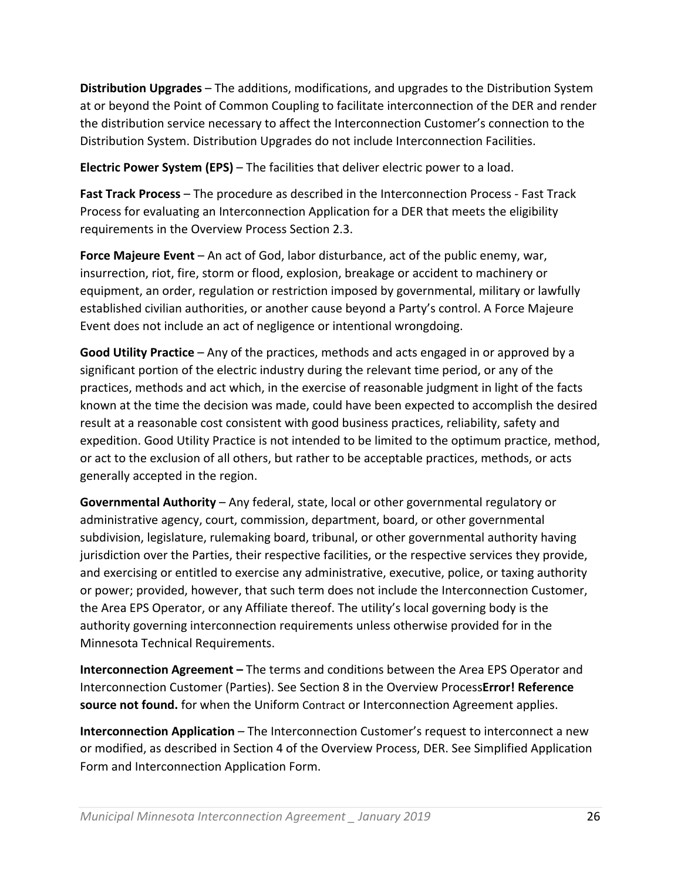**Distribution Upgrades** – The additions, modifications, and upgrades to the Distribution System at or beyond the Point of Common Coupling to facilitate interconnection of the DER and render the distribution service necessary to affect the Interconnection Customer's connection to the Distribution System. Distribution Upgrades do not include Interconnection Facilities.

**Electric Power System (EPS)** – The facilities that deliver electric power to a load.

**Fast Track Process** – The procedure as described in the Interconnection Process ‐ Fast Track Process for evaluating an Interconnection Application for a DER that meets the eligibility requirements in the Overview Process Section 2.3.

**Force Majeure Event** – An act of God, labor disturbance, act of the public enemy, war, insurrection, riot, fire, storm or flood, explosion, breakage or accident to machinery or equipment, an order, regulation or restriction imposed by governmental, military or lawfully established civilian authorities, or another cause beyond a Party's control. A Force Majeure Event does not include an act of negligence or intentional wrongdoing.

**Good Utility Practice** – Any of the practices, methods and acts engaged in or approved by a significant portion of the electric industry during the relevant time period, or any of the practices, methods and act which, in the exercise of reasonable judgment in light of the facts known at the time the decision was made, could have been expected to accomplish the desired result at a reasonable cost consistent with good business practices, reliability, safety and expedition. Good Utility Practice is not intended to be limited to the optimum practice, method, or act to the exclusion of all others, but rather to be acceptable practices, methods, or acts generally accepted in the region.

**Governmental Authority** – Any federal, state, local or other governmental regulatory or administrative agency, court, commission, department, board, or other governmental subdivision, legislature, rulemaking board, tribunal, or other governmental authority having jurisdiction over the Parties, their respective facilities, or the respective services they provide, and exercising or entitled to exercise any administrative, executive, police, or taxing authority or power; provided, however, that such term does not include the Interconnection Customer, the Area EPS Operator, or any Affiliate thereof. The utility's local governing body is the authority governing interconnection requirements unless otherwise provided for in the Minnesota Technical Requirements.

**Interconnection Agreement –** The terms and conditions between the Area EPS Operator and Interconnection Customer (Parties). See Section 8 in the Overview Process**Error! Reference source not found.** for when the Uniform Contract or Interconnection Agreement applies.

**Interconnection Application** – The Interconnection Customer's request to interconnect a new or modified, as described in Section 4 of the Overview Process, DER. See Simplified Application Form and Interconnection Application Form.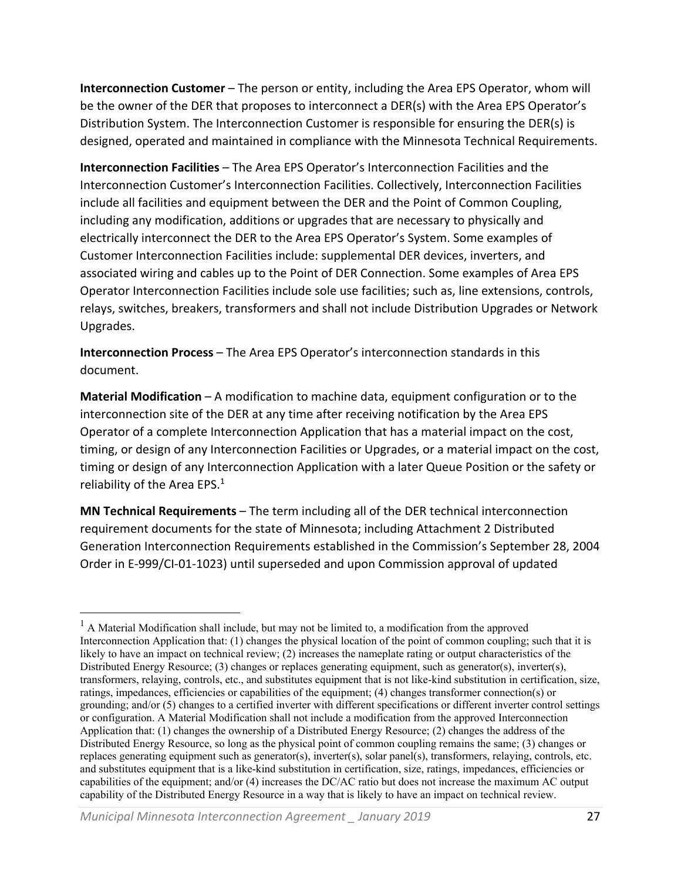**Interconnection Customer** – The person or entity, including the Area EPS Operator, whom will be the owner of the DER that proposes to interconnect a DER(s) with the Area EPS Operator's Distribution System. The Interconnection Customer is responsible for ensuring the DER(s) is designed, operated and maintained in compliance with the Minnesota Technical Requirements.

**Interconnection Facilities** – The Area EPS Operator's Interconnection Facilities and the Interconnection Customer's Interconnection Facilities. Collectively, Interconnection Facilities include all facilities and equipment between the DER and the Point of Common Coupling, including any modification, additions or upgrades that are necessary to physically and electrically interconnect the DER to the Area EPS Operator's System. Some examples of Customer Interconnection Facilities include: supplemental DER devices, inverters, and associated wiring and cables up to the Point of DER Connection. Some examples of Area EPS Operator Interconnection Facilities include sole use facilities; such as, line extensions, controls, relays, switches, breakers, transformers and shall not include Distribution Upgrades or Network Upgrades.

**Interconnection Process** – The Area EPS Operator's interconnection standards in this document.

**Material Modification** – A modification to machine data, equipment configuration or to the interconnection site of the DER at any time after receiving notification by the Area EPS Operator of a complete Interconnection Application that has a material impact on the cost, timing, or design of any Interconnection Facilities or Upgrades, or a material impact on the cost, timing or design of any Interconnection Application with a later Queue Position or the safety or reliability of the Area EPS.<sup>1</sup>

**MN Technical Requirements** – The term including all of the DER technical interconnection requirement documents for the state of Minnesota; including Attachment 2 Distributed Generation Interconnection Requirements established in the Commission's September 28, 2004 Order in E‐999/CI‐01‐1023) until superseded and upon Commission approval of updated

 $<sup>1</sup>$  A Material Modification shall include, but may not be limited to, a modification from the approved</sup> Interconnection Application that: (1) changes the physical location of the point of common coupling; such that it is likely to have an impact on technical review; (2) increases the nameplate rating or output characteristics of the Distributed Energy Resource; (3) changes or replaces generating equipment, such as generator(s), inverter(s), transformers, relaying, controls, etc., and substitutes equipment that is not like-kind substitution in certification, size, ratings, impedances, efficiencies or capabilities of the equipment; (4) changes transformer connection(s) or grounding; and/or (5) changes to a certified inverter with different specifications or different inverter control settings or configuration. A Material Modification shall not include a modification from the approved Interconnection Application that: (1) changes the ownership of a Distributed Energy Resource; (2) changes the address of the Distributed Energy Resource, so long as the physical point of common coupling remains the same; (3) changes or replaces generating equipment such as generator(s), inverter(s), solar panel(s), transformers, relaying, controls, etc. and substitutes equipment that is a like-kind substitution in certification, size, ratings, impedances, efficiencies or capabilities of the equipment; and/or (4) increases the DC/AC ratio but does not increase the maximum AC output capability of the Distributed Energy Resource in a way that is likely to have an impact on technical review.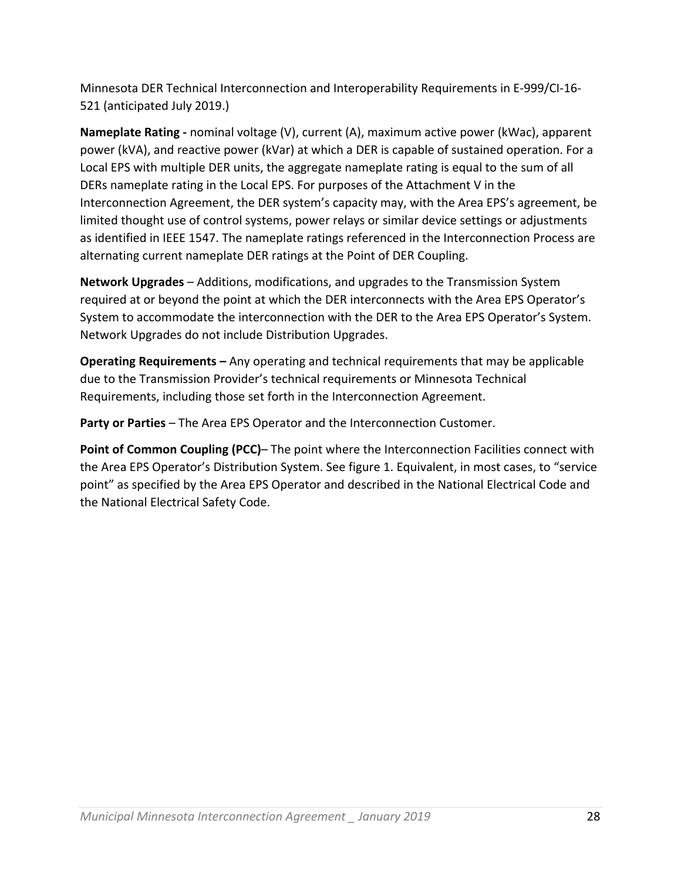Minnesota DER Technical Interconnection and Interoperability Requirements in E‐999/CI‐16‐ 521 (anticipated July 2019.)

**Nameplate Rating ‐** nominal voltage (V), current (A), maximum active power (kWac), apparent power (kVA), and reactive power (kVar) at which a DER is capable of sustained operation. For a Local EPS with multiple DER units, the aggregate nameplate rating is equal to the sum of all DERs nameplate rating in the Local EPS. For purposes of the Attachment V in the Interconnection Agreement, the DER system's capacity may, with the Area EPS's agreement, be limited thought use of control systems, power relays or similar device settings or adjustments as identified in IEEE 1547. The nameplate ratings referenced in the Interconnection Process are alternating current nameplate DER ratings at the Point of DER Coupling.

**Network Upgrades** – Additions, modifications, and upgrades to the Transmission System required at or beyond the point at which the DER interconnects with the Area EPS Operator's System to accommodate the interconnection with the DER to the Area EPS Operator's System. Network Upgrades do not include Distribution Upgrades.

**Operating Requirements –** Any operating and technical requirements that may be applicable due to the Transmission Provider's technical requirements or Minnesota Technical Requirements, including those set forth in the Interconnection Agreement.

**Party or Parties** – The Area EPS Operator and the Interconnection Customer.

**Point of Common Coupling (PCC)–** The point where the Interconnection Facilities connect with the Area EPS Operator's Distribution System. See figure 1. Equivalent, in most cases, to "service point" as specified by the Area EPS Operator and described in the National Electrical Code and the National Electrical Safety Code.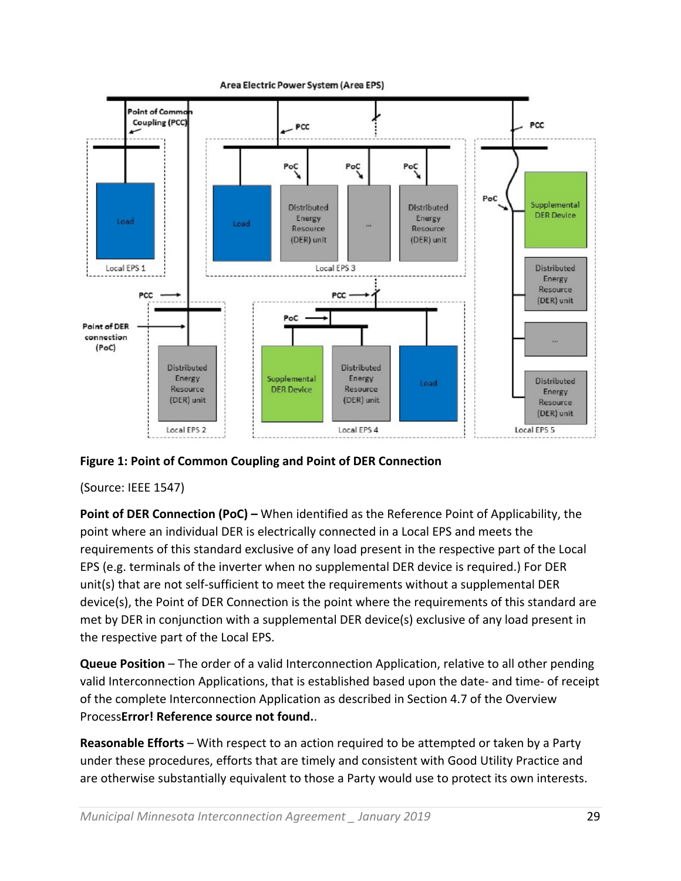

Area Electric Power System (Area EPS)

#### **Figure 1: Point of Common Coupling and Point of DER Connection**

#### (Source: IEEE 1547)

**Point of DER Connection (PoC) –** When identified as the Reference Point of Applicability, the point where an individual DER is electrically connected in a Local EPS and meets the requirements of this standard exclusive of any load present in the respective part of the Local EPS (e.g. terminals of the inverter when no supplemental DER device is required.) For DER unit(s) that are not self‐sufficient to meet the requirements without a supplemental DER device(s), the Point of DER Connection is the point where the requirements of this standard are met by DER in conjunction with a supplemental DER device(s) exclusive of any load present in the respective part of the Local EPS.

**Queue Position** – The order of a valid Interconnection Application, relative to all other pending valid Interconnection Applications, that is established based upon the date- and time- of receipt of the complete Interconnection Application as described in Section 4.7 of the Overview Process**Error! Reference source not found.**.

**Reasonable Efforts** – With respect to an action required to be attempted or taken by a Party under these procedures, efforts that are timely and consistent with Good Utility Practice and are otherwise substantially equivalent to those a Party would use to protect its own interests.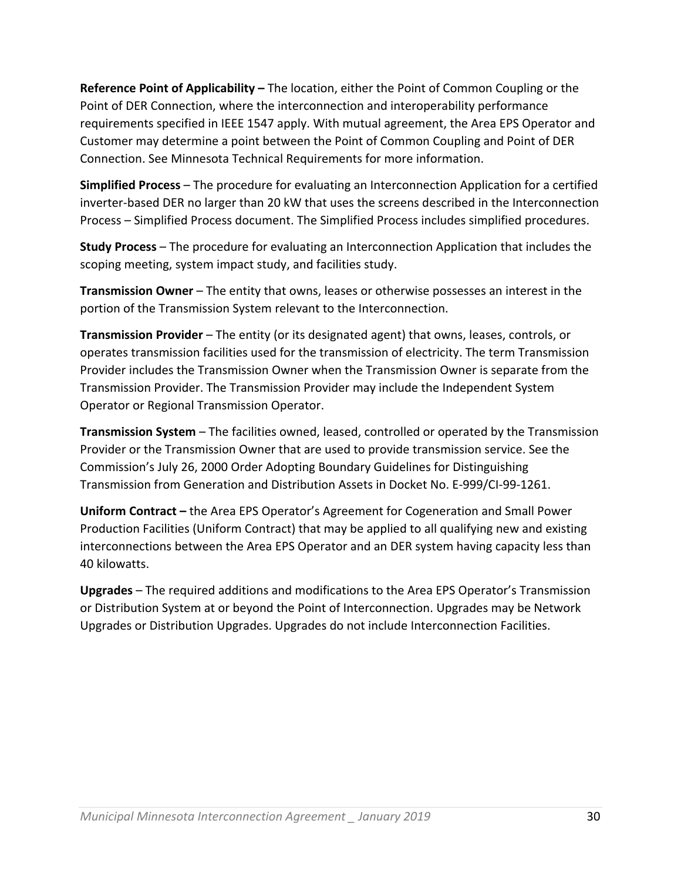**Reference Point of Applicability –** The location, either the Point of Common Coupling or the Point of DER Connection, where the interconnection and interoperability performance requirements specified in IEEE 1547 apply. With mutual agreement, the Area EPS Operator and Customer may determine a point between the Point of Common Coupling and Point of DER Connection. See Minnesota Technical Requirements for more information.

**Simplified Process** – The procedure for evaluating an Interconnection Application for a certified inverter‐based DER no larger than 20 kW that uses the screens described in the Interconnection Process – Simplified Process document. The Simplified Process includes simplified procedures.

**Study Process** – The procedure for evaluating an Interconnection Application that includes the scoping meeting, system impact study, and facilities study.

**Transmission Owner** – The entity that owns, leases or otherwise possesses an interest in the portion of the Transmission System relevant to the Interconnection.

**Transmission Provider** – The entity (or its designated agent) that owns, leases, controls, or operates transmission facilities used for the transmission of electricity. The term Transmission Provider includes the Transmission Owner when the Transmission Owner is separate from the Transmission Provider. The Transmission Provider may include the Independent System Operator or Regional Transmission Operator.

**Transmission System** – The facilities owned, leased, controlled or operated by the Transmission Provider or the Transmission Owner that are used to provide transmission service. See the Commission's July 26, 2000 Order Adopting Boundary Guidelines for Distinguishing Transmission from Generation and Distribution Assets in Docket No. E‐999/CI‐99‐1261.

**Uniform Contract –** the Area EPS Operator's Agreement for Cogeneration and Small Power Production Facilities (Uniform Contract) that may be applied to all qualifying new and existing interconnections between the Area EPS Operator and an DER system having capacity less than 40 kilowatts.

**Upgrades** – The required additions and modifications to the Area EPS Operator's Transmission or Distribution System at or beyond the Point of Interconnection. Upgrades may be Network Upgrades or Distribution Upgrades. Upgrades do not include Interconnection Facilities.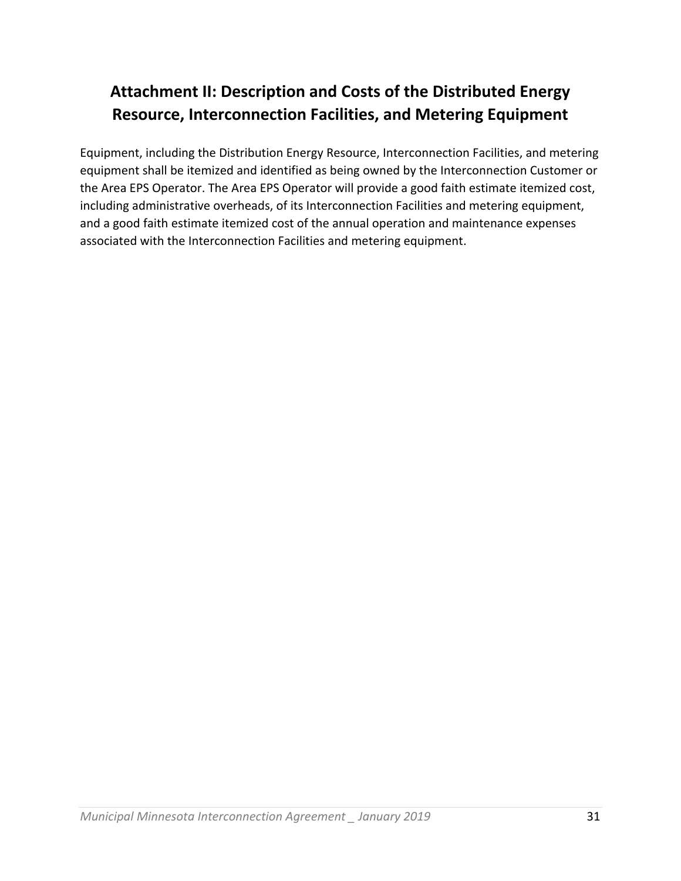# **Attachment II: Description and Costs of the Distributed Energy Resource, Interconnection Facilities, and Metering Equipment**

Equipment, including the Distribution Energy Resource, Interconnection Facilities, and metering equipment shall be itemized and identified as being owned by the Interconnection Customer or the Area EPS Operator. The Area EPS Operator will provide a good faith estimate itemized cost, including administrative overheads, of its Interconnection Facilities and metering equipment, and a good faith estimate itemized cost of the annual operation and maintenance expenses associated with the Interconnection Facilities and metering equipment.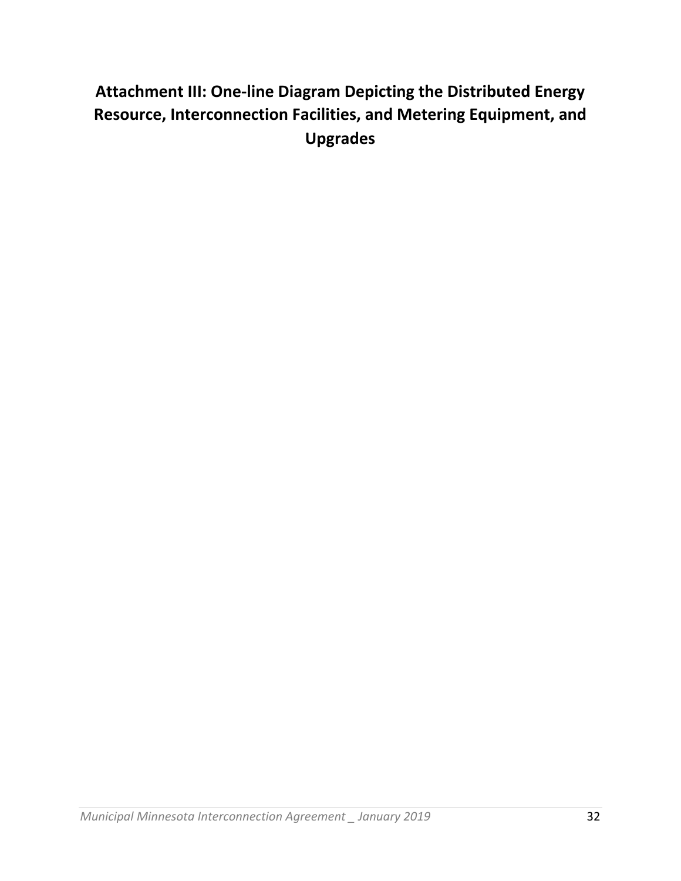# **Attachment III: One‐line Diagram Depicting the Distributed Energy Resource, Interconnection Facilities, and Metering Equipment, and Upgrades**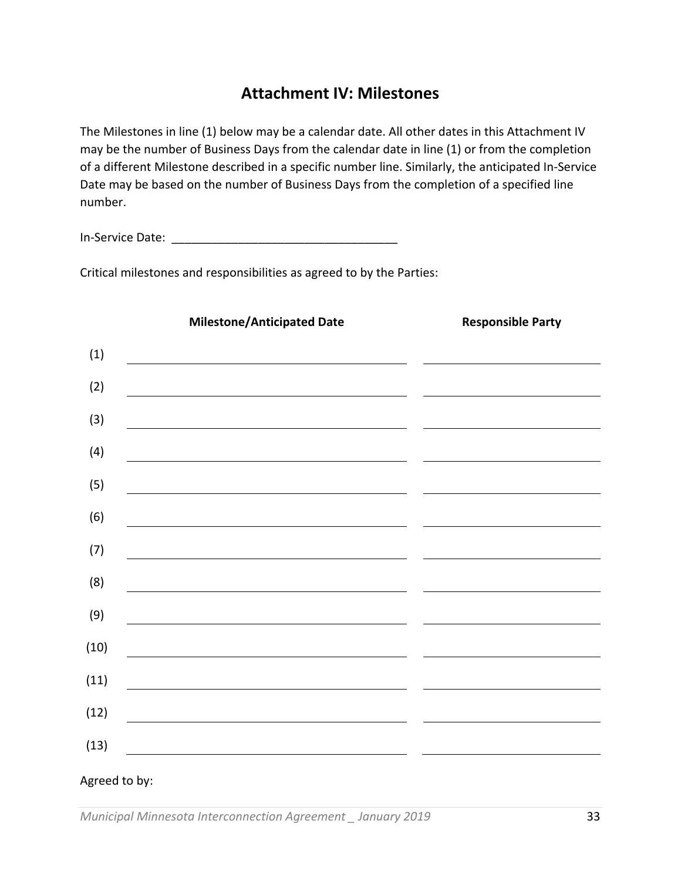#### **Attachment IV: Milestones**

The Milestones in line (1) below may be a calendar date. All other dates in this Attachment IV may be the number of Business Days from the calendar date in line (1) or from the completion of a different Milestone described in a specific number line. Similarly, the anticipated In‐Service Date may be based on the number of Business Days from the completion of a specified line number.

In‐Service Date: \_\_\_\_\_\_\_\_\_\_\_\_\_\_\_\_\_\_\_\_\_\_\_\_\_\_\_\_\_\_\_\_\_\_

Critical milestones and responsibilities as agreed to by the Parties:

|               | <b>Milestone/Anticipated Date</b>                                                                                      | <b>Responsible Party</b>                                                                           |
|---------------|------------------------------------------------------------------------------------------------------------------------|----------------------------------------------------------------------------------------------------|
| (1)           |                                                                                                                        |                                                                                                    |
| (2)           | <u> 1989 - Johann Stoff, deutscher Stoff, der Stoff, der Stoff, der Stoff, der Stoff, der Stoff, der Stoff, der S</u>  |                                                                                                    |
| (3)           |                                                                                                                        |                                                                                                    |
| (4)           |                                                                                                                        | <u> 1989 - Johann Barnett, fransk politiker (</u>                                                  |
| (5)           | <u> 1989 - Johann Stoff, amerikansk politiker (d. 1989)</u>                                                            |                                                                                                    |
| (6)           |                                                                                                                        | <u> 1989 - Andrea Stadt Britain, amerikansk politik (</u>                                          |
| (7)           | <u> 1989 - Johann Stein, mars an deutscher Stein und der Stein und der Stein und der Stein und der Stein und der</u>   |                                                                                                    |
| (8)           |                                                                                                                        |                                                                                                    |
| (9)           | <u> 1980 - John Stein, mars and de Britain and de Britain and de Britain and de Britain and de Britain and de Br</u>   |                                                                                                    |
| (10)          | <u> 1989 - Johann Stoff, deutscher Stoffen und der Stoffen und der Stoffen und der Stoffen und der Stoffen und der</u> |                                                                                                    |
| (11)          | <u> 1989 - Johann Stoff, deutscher Stoffen und der Stoffen und der Stoffen und der Stoffen und der Stoffen und der</u> | <u> 1980 - Johann Stein, mars an deus an deus Amerikaanse komme van de Fryske komme en oantale</u> |
| (12)          |                                                                                                                        |                                                                                                    |
| (13)          | <u> 1989 - Johann Stoff, deutscher Stoffen und der Stoffen und der Stoffen und der Stoffen und der Stoffen und der</u> |                                                                                                    |
| Agreed to by: | <u> 1989 - Johann Barbara, martxa alemaniar amerikan a</u>                                                             |                                                                                                    |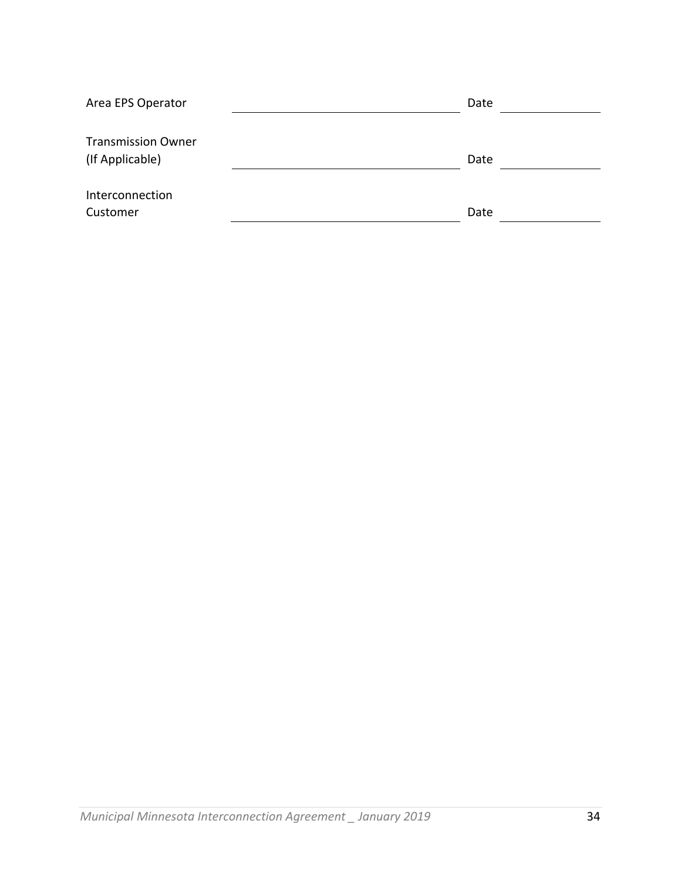| Area EPS Operator                            | Date |  |
|----------------------------------------------|------|--|
| <b>Transmission Owner</b><br>(If Applicable) | Date |  |
| Interconnection<br>Customer                  | Date |  |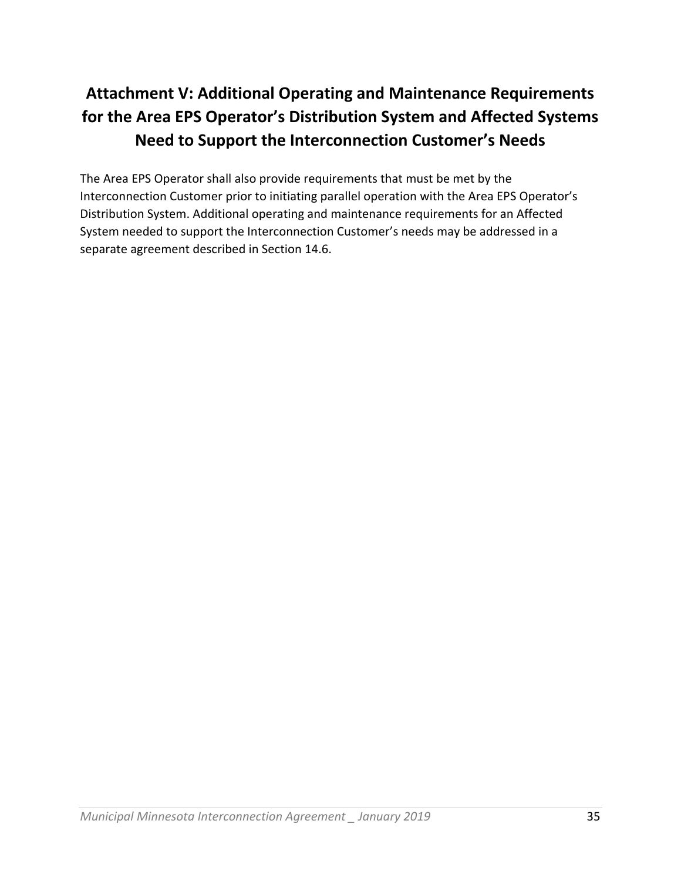# **Attachment V: Additional Operating and Maintenance Requirements for the Area EPS Operator's Distribution System and Affected Systems Need to Support the Interconnection Customer's Needs**

The Area EPS Operator shall also provide requirements that must be met by the Interconnection Customer prior to initiating parallel operation with the Area EPS Operator's Distribution System. Additional operating and maintenance requirements for an Affected System needed to support the Interconnection Customer's needs may be addressed in a separate agreement described in Section 14.6.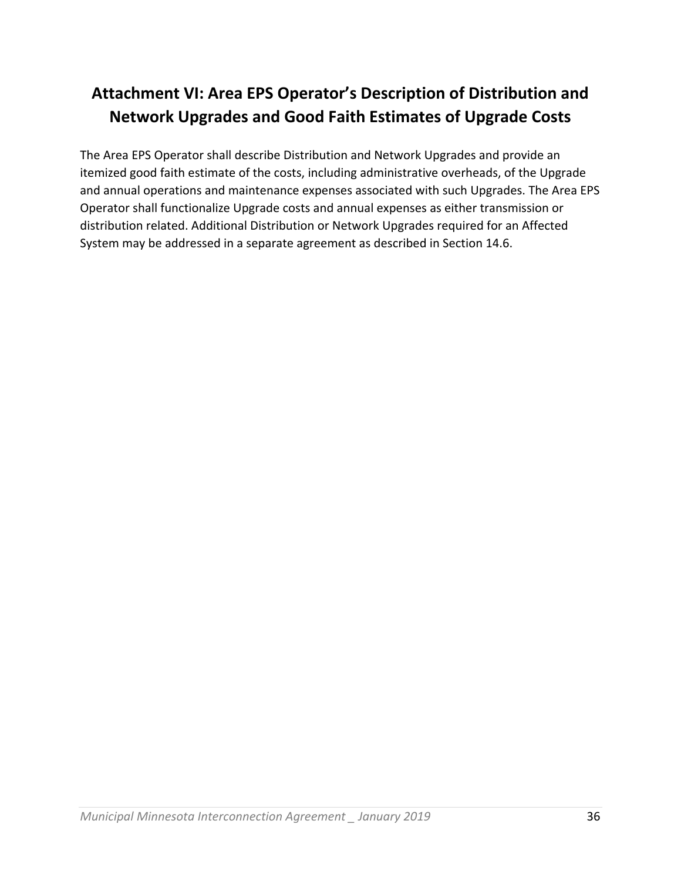# **Attachment VI: Area EPS Operator's Description of Distribution and Network Upgrades and Good Faith Estimates of Upgrade Costs**

The Area EPS Operator shall describe Distribution and Network Upgrades and provide an itemized good faith estimate of the costs, including administrative overheads, of the Upgrade and annual operations and maintenance expenses associated with such Upgrades. The Area EPS Operator shall functionalize Upgrade costs and annual expenses as either transmission or distribution related. Additional Distribution or Network Upgrades required for an Affected System may be addressed in a separate agreement as described in Section 14.6.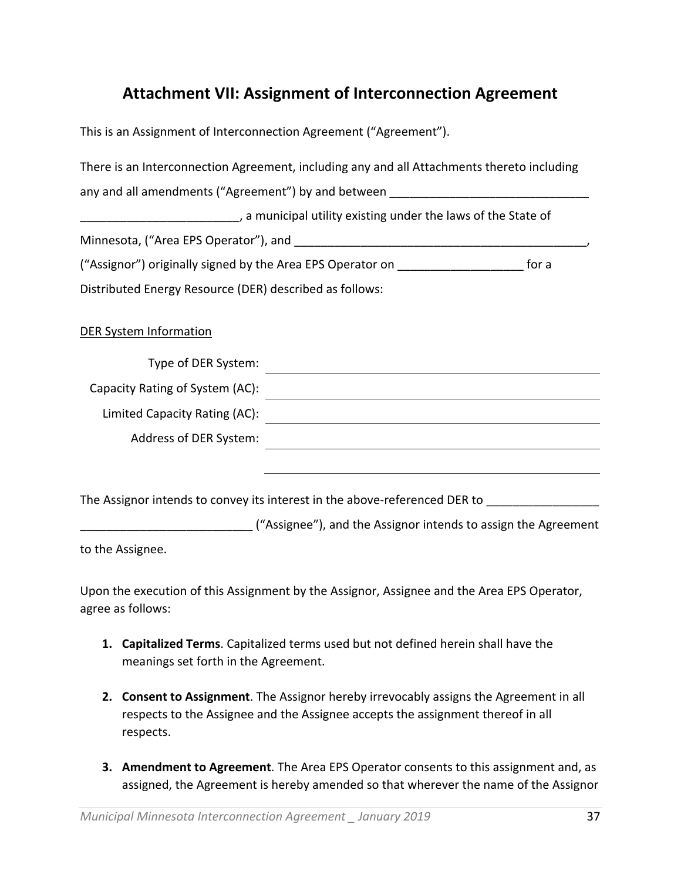## **Attachment VII: Assignment of Interconnection Agreement**

This is an Assignment of Interconnection Agreement ("Agreement").

|                                                                                         | There is an Interconnection Agreement, including any and all Attachments thereto including                                                                                                                                    |  |
|-----------------------------------------------------------------------------------------|-------------------------------------------------------------------------------------------------------------------------------------------------------------------------------------------------------------------------------|--|
|                                                                                         | any and all amendments ("Agreement") by and between _____________________________                                                                                                                                             |  |
|                                                                                         | ____________________________, a municipal utility existing under the laws of the State of                                                                                                                                     |  |
|                                                                                         |                                                                                                                                                                                                                               |  |
| ("Assignor") originally signed by the Area EPS Operator on ______________________ for a |                                                                                                                                                                                                                               |  |
| Distributed Energy Resource (DER) described as follows:                                 |                                                                                                                                                                                                                               |  |
| <b>DER System Information</b>                                                           |                                                                                                                                                                                                                               |  |
| Type of DER System:                                                                     |                                                                                                                                                                                                                               |  |
| Capacity Rating of System (AC):                                                         |                                                                                                                                                                                                                               |  |
| Limited Capacity Rating (AC):                                                           | <u> 1989 - Johann Stein, fransk politik (f. 1989)</u>                                                                                                                                                                         |  |
| Address of DER System:                                                                  | the control of the control of the control of the control of the control of the control of the control of the control of the control of the control of the control of the control of the control of the control of the control |  |
|                                                                                         |                                                                                                                                                                                                                               |  |
|                                                                                         | The Assignor intends to convey its interest in the above-referenced DER to _________________________                                                                                                                          |  |
|                                                                                         | _________________________("Assignee"), and the Assignor intends to assign the Agreement                                                                                                                                       |  |
| to the Assignee.                                                                        |                                                                                                                                                                                                                               |  |

Upon the execution of this Assignment by the Assignor, Assignee and the Area EPS Operator, agree as follows:

- **1. Capitalized Terms**. Capitalized terms used but not defined herein shall have the meanings set forth in the Agreement.
- **2. Consent to Assignment**. The Assignor hereby irrevocably assigns the Agreement in all respects to the Assignee and the Assignee accepts the assignment thereof in all respects.
- **3. Amendment to Agreement**. The Area EPS Operator consents to this assignment and, as assigned, the Agreement is hereby amended so that wherever the name of the Assignor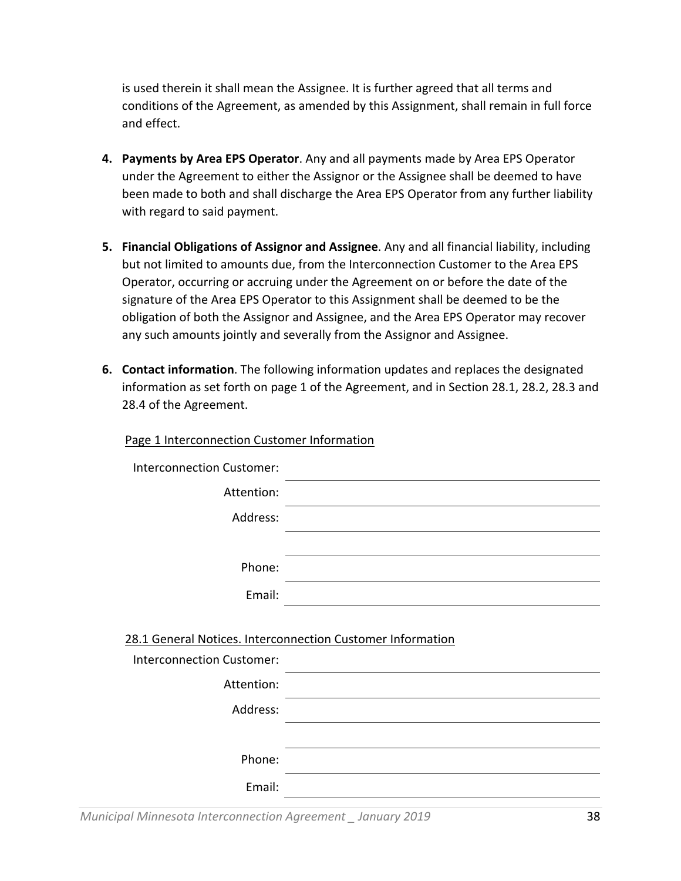is used therein it shall mean the Assignee. It is further agreed that all terms and conditions of the Agreement, as amended by this Assignment, shall remain in full force and effect.

- **4. Payments by Area EPS Operator**. Any and all payments made by Area EPS Operator under the Agreement to either the Assignor or the Assignee shall be deemed to have been made to both and shall discharge the Area EPS Operator from any further liability with regard to said payment.
- **5. Financial Obligations of Assignor and Assignee**. Any and all financial liability, including but not limited to amounts due, from the Interconnection Customer to the Area EPS Operator, occurring or accruing under the Agreement on or before the date of the signature of the Area EPS Operator to this Assignment shall be deemed to be the obligation of both the Assignor and Assignee, and the Area EPS Operator may recover any such amounts jointly and severally from the Assignor and Assignee.
- **6. Contact information**. The following information updates and replaces the designated information as set forth on page 1 of the Agreement, and in Section 28.1, 28.2, 28.3 and 28.4 of the Agreement.

| <b>Interconnection Customer:</b>               |                                                            |
|------------------------------------------------|------------------------------------------------------------|
| Attention:                                     |                                                            |
| Address:                                       |                                                            |
|                                                |                                                            |
| Phone:                                         |                                                            |
| Email:                                         |                                                            |
| <b>Interconnection Customer:</b><br>Attention: | 28.1 General Notices. Interconnection Customer Information |
| Address:                                       |                                                            |
|                                                |                                                            |
| Phone:                                         |                                                            |
| Email:                                         |                                                            |
|                                                |                                                            |

*Municipal Minnesota Interconnection Agreement \_ January 2019* 38

Page 1 Interconnection Customer Information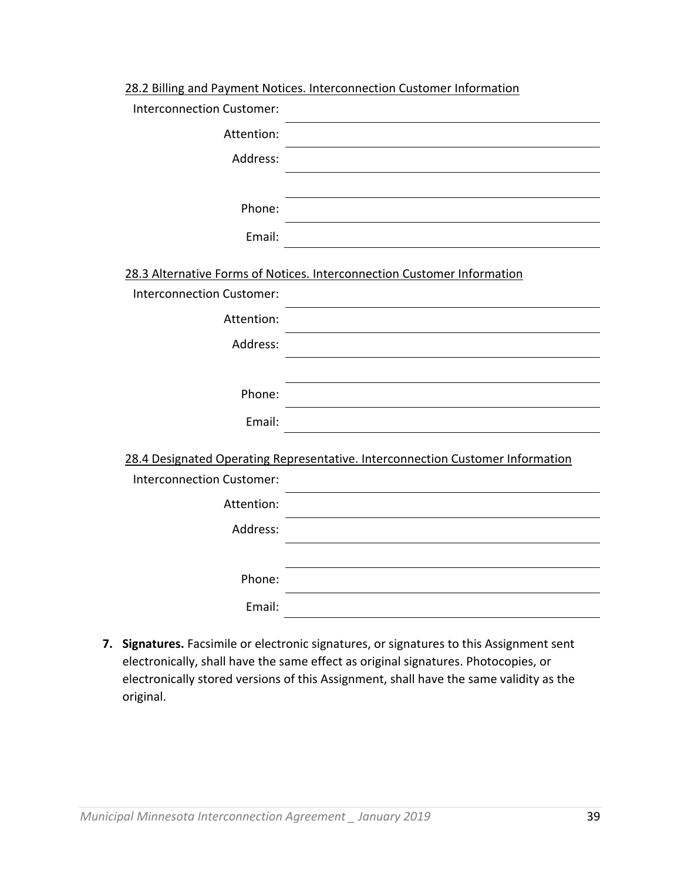| 28.2 Billing and Payment Notices. Interconnection Customer Information |
|------------------------------------------------------------------------|
|------------------------------------------------------------------------|

| <b>Interconnection Customer:</b> |                                                                                |
|----------------------------------|--------------------------------------------------------------------------------|
| Attention:                       |                                                                                |
| Address:                         |                                                                                |
|                                  |                                                                                |
| Phone:                           |                                                                                |
| Email:                           |                                                                                |
|                                  | 28.3 Alternative Forms of Notices. Interconnection Customer Information        |
| <b>Interconnection Customer:</b> |                                                                                |
| Attention:                       |                                                                                |
| Address:                         |                                                                                |
|                                  |                                                                                |
| Phone:                           |                                                                                |
| Email:                           |                                                                                |
|                                  |                                                                                |
|                                  | 28.4 Designated Operating Representative. Interconnection Customer Information |
| <b>Interconnection Customer:</b> |                                                                                |
| Attention:                       |                                                                                |
| Address:                         |                                                                                |
|                                  |                                                                                |
| Phone:                           |                                                                                |
| Email:                           |                                                                                |

**7. Signatures.** Facsimile or electronic signatures, or signatures to this Assignment sent electronically, shall have the same effect as original signatures. Photocopies, or electronically stored versions of this Assignment, shall have the same validity as the original.